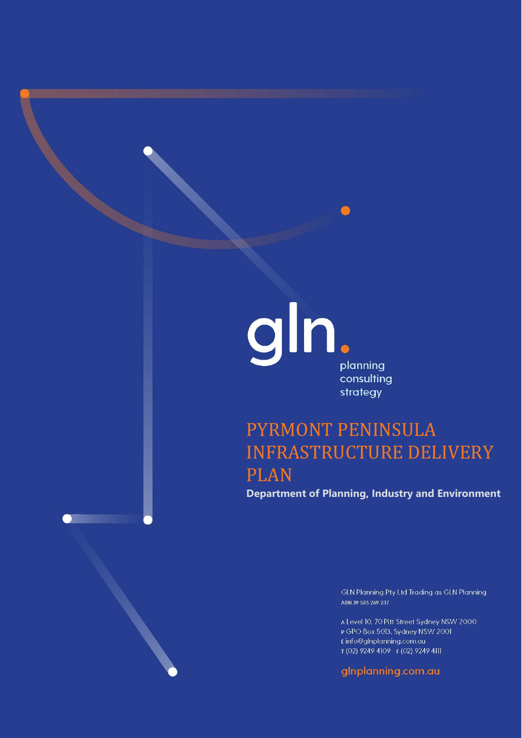

# PYRMONT PENINSULA INFRASTRUCTURE DELIVERY PLAN

**Department of Planning, Industry and Environment**

GLN Planning Pty Ltd Trading as GLN Planning ABN 39 585 269 237

A Level 10, 70 Pitt Street Sydney NSW 2000 P GPO Box 5013, Sydney NSW 2001 Einfo@glnplanning.com.au T (02) 9249 4109 F (02) 9249 4111

gInplanning.com.au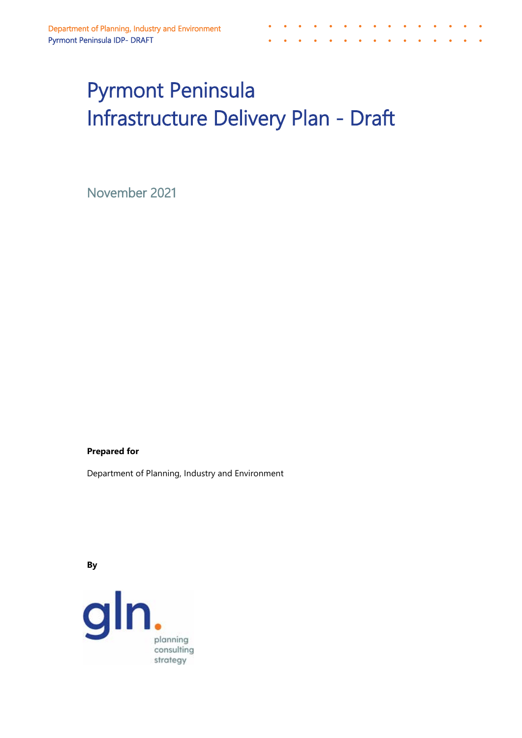# Pyrmont Peninsula Infrastructure Delivery Plan - Draft

 $\bullet$ 

 $\bullet$  ,  $\bullet$  ,  $\bullet$  ,  $\bullet$  ,  $\bullet$ 

 $\bullet$ 

November 2021

### **Prepared for**

Department of Planning, Industry and Environment

**By**

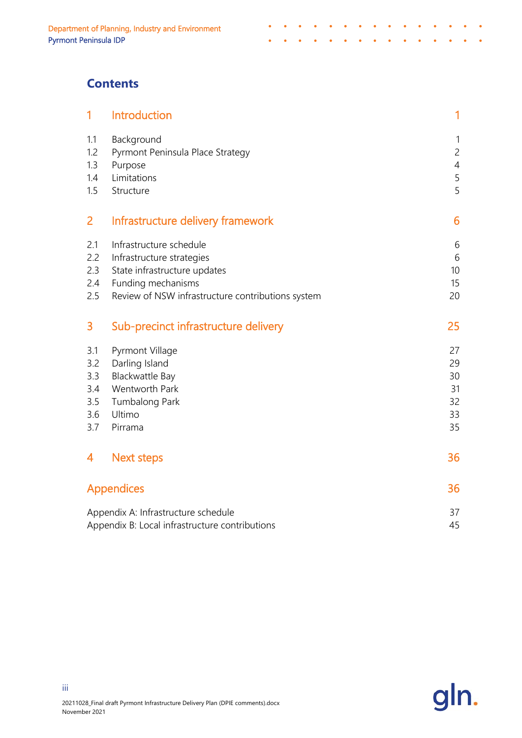# **Contents**

| 1                                             | Introduction                                                                                                                                                    | 1                                                          |
|-----------------------------------------------|-----------------------------------------------------------------------------------------------------------------------------------------------------------------|------------------------------------------------------------|
| 1.1<br>1.2<br>1.3<br>1.4<br>1.5               | Background<br>Pyrmont Peninsula Place Strategy<br>Purpose<br>Limitations<br>Structure                                                                           | $\mathbf{1}$<br>$\overline{c}$<br>$\overline{4}$<br>5<br>5 |
| 2                                             | Infrastructure delivery framework                                                                                                                               | 6                                                          |
| 2.1<br>2.2<br>2.3<br>2.4<br>2.5               | Infrastructure schedule<br>Infrastructure strategies<br>State infrastructure updates<br>Funding mechanisms<br>Review of NSW infrastructure contributions system | 6<br>6<br>10<br>15<br>20                                   |
| 3                                             | Sub-precinct infrastructure delivery                                                                                                                            | 25                                                         |
| 3.1<br>3.2<br>3.3<br>3.4<br>3.5<br>3.6<br>3.7 | Pyrmont Village<br>Darling Island<br>Blackwattle Bay<br>Wentworth Park<br>Tumbalong Park<br>Ultimo<br>Pirrama                                                   | 27<br>29<br>30<br>31<br>32<br>33<br>35                     |
| 4                                             | <b>Next steps</b>                                                                                                                                               | 36                                                         |
|                                               | <b>Appendices</b>                                                                                                                                               | 36                                                         |
|                                               | Appendix A: Infrastructure schedule<br>Appendix B: Local infrastructure contributions                                                                           | 37<br>45                                                   |

 $\bullet$  ,  $\bullet$  ,  $\bullet$ 

j.  $\bullet$  $\bullet$  $\bullet$ 

 $\sim$   $\sim$ 

 $\bullet$  $\bullet$  $\bullet$   $\bullet$  $\mathcal{L}(\mathbf{0})$ 

> $\bullet$  $\ddot{\phantom{1}}$  $\sim$

 $\bullet$  $\bullet$ 

 $\mathbf{r}$  , and  $\mathbf{r}$  , and  $\mathbf{r}$  , and  $\mathbf{r}$ 

 $\sim$   $\sim$   $\sim$   $\sim$ 

 $\overline{\phantom{a}}$ 

 $\bullet$ i.



iii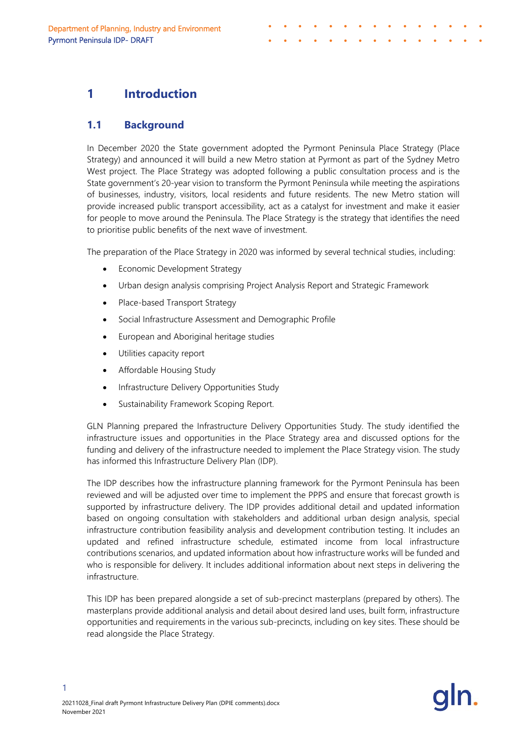# <span id="page-3-0"></span>**1 Introduction**

## <span id="page-3-1"></span>**1.1 Background**

In December 2020 the State government adopted the Pyrmont Peninsula Place Strategy (Place Strategy) and announced it will build a new Metro station at Pyrmont as part of the Sydney Metro West project. The Place Strategy was adopted following a public consultation process and is the State government's 20-year vision to transform the Pyrmont Peninsula while meeting the aspirations of businesses, industry, visitors, local residents and future residents. The new Metro station will provide increased public transport accessibility, act as a catalyst for investment and make it easier for people to move around the Peninsula. The Place Strategy is the strategy that identifies the need to prioritise public benefits of the next wave of investment.

The preparation of the Place Strategy in 2020 was informed by several technical studies, including:

- Economic Development Strategy
- Urban design analysis comprising Project Analysis Report and Strategic Framework
- Place-based Transport Strategy
- Social Infrastructure Assessment and Demographic Profile
- European and Aboriginal heritage studies
- Utilities capacity report
- Affordable Housing Study
- Infrastructure Delivery Opportunities Study
- Sustainability Framework Scoping Report.

GLN Planning prepared the Infrastructure Delivery Opportunities Study. The study identified the infrastructure issues and opportunities in the Place Strategy area and discussed options for the funding and delivery of the infrastructure needed to implement the Place Strategy vision. The study has informed this Infrastructure Delivery Plan (IDP).

The IDP describes how the infrastructure planning framework for the Pyrmont Peninsula has been reviewed and will be adjusted over time to implement the PPPS and ensure that forecast growth is supported by infrastructure delivery. The IDP provides additional detail and updated information based on ongoing consultation with stakeholders and additional urban design analysis, special infrastructure contribution feasibility analysis and development contribution testing. It includes an updated and refined infrastructure schedule, estimated income from local infrastructure contributions scenarios, and updated information about how infrastructure works will be funded and who is responsible for delivery. It includes additional information about next steps in delivering the infrastructure.

This IDP has been prepared alongside a set of sub-precinct masterplans (prepared by others). The masterplans provide additional analysis and detail about desired land uses, built form, infrastructure opportunities and requirements in the various sub-precincts, including on key sites. These should be read alongside the Place Strategy.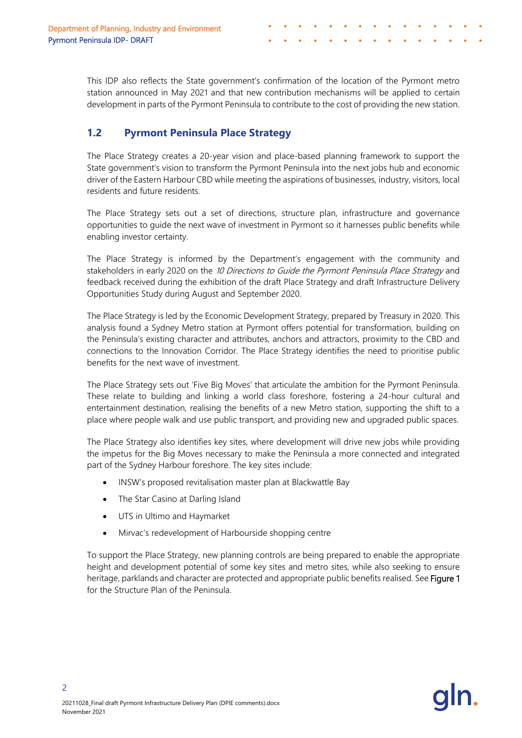This IDP also reflects the State government's confirmation of the location of the Pyrmont metro station announced in May 2021 and that new contribution mechanisms will be applied to certain development in parts of the Pyrmont Peninsula to contribute to the cost of providing the new station.

# <span id="page-4-0"></span>**1.2 Pyrmont Peninsula Place Strategy**

The Place Strategy creates a 20-year vision and place-based planning framework to support the State government's vision to transform the Pyrmont Peninsula into the next jobs hub and economic driver of the Eastern Harbour CBD while meeting the aspirations of businesses, industry, visitors, local residents and future residents.

The Place Strategy sets out a set of directions, structure plan, infrastructure and governance opportunities to guide the next wave of investment in Pyrmont so it harnesses public benefits while enabling investor certainty.

The Place Strategy is informed by the Department's engagement with the community and stakeholders in early 2020 on the 10 Directions to Guide the Pyrmont Peninsula Place Strategy and feedback received during the exhibition of the draft Place Strategy and draft Infrastructure Delivery Opportunities Study during August and September 2020.

The Place Strategy is led by the Economic Development Strategy, prepared by Treasury in 2020. This analysis found a Sydney Metro station at Pyrmont offers potential for transformation, building on the Peninsula's existing character and attributes, anchors and attractors, proximity to the CBD and connections to the Innovation Corridor. The Place Strategy identifies the need to prioritise public benefits for the next wave of investment.

The Place Strategy sets out 'Five Big Moves' that articulate the ambition for the Pyrmont Peninsula. These relate to building and linking a world class foreshore, fostering a 24-hour cultural and entertainment destination, realising the benefits of a new Metro station, supporting the shift to a place where people walk and use public transport, and providing new and upgraded public spaces.

The Place Strategy also identifies key sites, where development will drive new jobs while providing the impetus for the Big Moves necessary to make the Peninsula a more connected and integrated part of the Sydney Harbour foreshore. The key sites include:

- INSW's proposed revitalisation master plan at Blackwattle Bay
- The Star Casino at Darling Island
- UTS in Ultimo and Haymarket
- Mirvac's redevelopment of Harbourside shopping centre

To support the Place Strategy, new planning controls are being prepared to enable the appropriate height and development potential of some key sites and metro sites, while also seeking to ensure heritage, parklands and character are protected and appropriate public benefits realised. See Figure 1 for the Structure Plan of the Peninsula.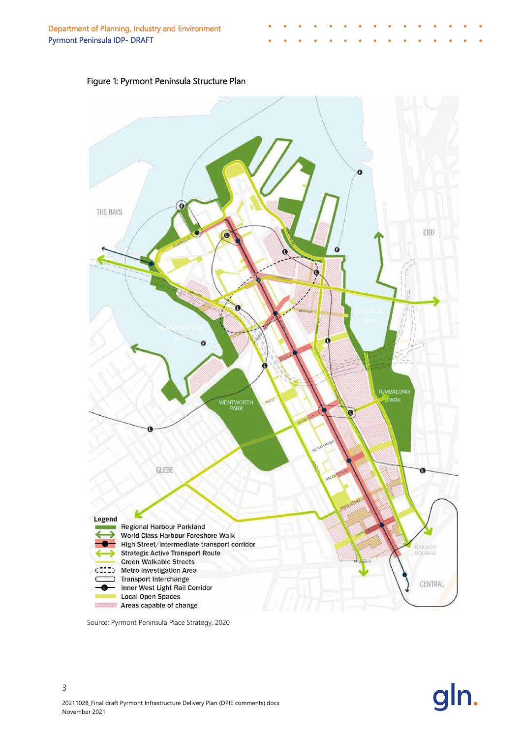



Source: Pyrmont Peninsula Place Strategy, 2020

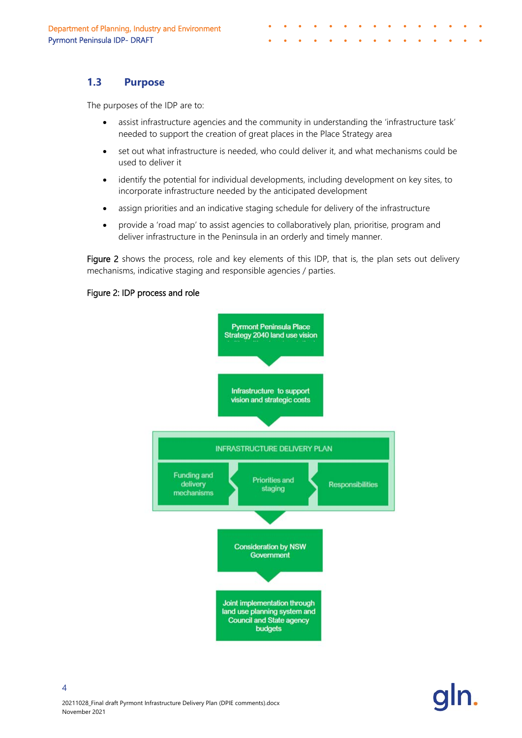## <span id="page-6-0"></span>**1.3 Purpose**

The purposes of the IDP are to:

- assist infrastructure agencies and the community in understanding the 'infrastructure task' needed to support the creation of great places in the Place Strategy area
- set out what infrastructure is needed, who could deliver it, and what mechanisms could be used to deliver it
- identify the potential for individual developments, including development on key sites, to incorporate infrastructure needed by the anticipated development
- assign priorities and an indicative staging schedule for delivery of the infrastructure
- provide a 'road map' to assist agencies to collaboratively plan, prioritise, program and deliver infrastructure in the Peninsula in an orderly and timely manner.

Figure 2 shows the process, role and key elements of this IDP, that is, the plan sets out delivery mechanisms, indicative staging and responsible agencies / parties.

#### Figure 2: IDP process and role

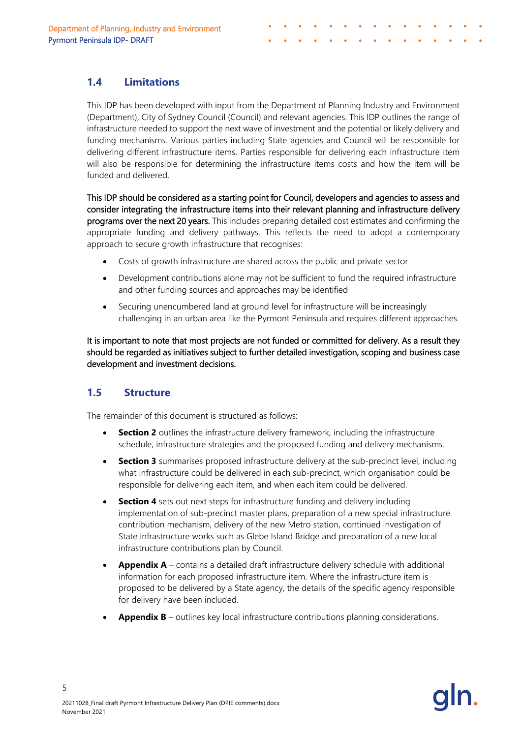## <span id="page-7-0"></span>**1.4 Limitations**

This IDP has been developed with input from the Department of Planning Industry and Environment (Department), City of Sydney Council (Council) and relevant agencies. This IDP outlines the range of infrastructure needed to support the next wave of investment and the potential or likely delivery and funding mechanisms. Various parties including State agencies and Council will be responsible for delivering different infrastructure items. Parties responsible for delivering each infrastructure item will also be responsible for determining the infrastructure items costs and how the item will be funded and delivered.

This IDP should be considered as a starting point for Council, developers and agencies to assess and consider integrating the infrastructure items into their relevant planning and infrastructure delivery programs over the next 20 years. This includes preparing detailed cost estimates and confirming the appropriate funding and delivery pathways. This reflects the need to adopt a contemporary approach to secure growth infrastructure that recognises:

- Costs of growth infrastructure are shared across the public and private sector
- Development contributions alone may not be sufficient to fund the required infrastructure and other funding sources and approaches may be identified
- Securing unencumbered land at ground level for infrastructure will be increasingly challenging in an urban area like the Pyrmont Peninsula and requires different approaches.

It is important to note that most projects are not funded or committed for delivery. As a result they should be regarded as initiatives subject to further detailed investigation, scoping and business case development and investment decisions.

## <span id="page-7-1"></span>**1.5 Structure**

The remainder of this document is structured as follows:

- **Section 2** outlines the infrastructure delivery framework, including the infrastructure schedule, infrastructure strategies and the proposed funding and delivery mechanisms.
- **Section 3** summarises proposed infrastructure delivery at the sub-precinct level, including what infrastructure could be delivered in each sub-precinct, which organisation could be responsible for delivering each item, and when each item could be delivered.
- **Section 4** sets out next steps for infrastructure funding and delivery including implementation of sub-precinct master plans, preparation of a new special infrastructure contribution mechanism, delivery of the new Metro station, continued investigation of State infrastructure works such as Glebe Island Bridge and preparation of a new local infrastructure contributions plan by Council.
- **Appendix A** contains a detailed draft infrastructure delivery schedule with additional information for each proposed infrastructure item. Where the infrastructure item is proposed to be delivered by a State agency, the details of the specific agency responsible for delivery have been included.
- **Appendix B** outlines key local infrastructure contributions planning considerations.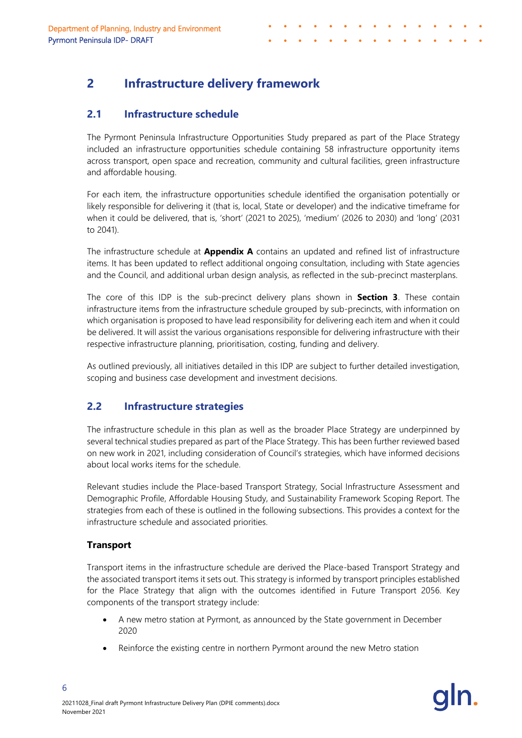## <span id="page-8-1"></span><span id="page-8-0"></span>**2.1 Infrastructure schedule**

The Pyrmont Peninsula Infrastructure Opportunities Study prepared as part of the Place Strategy included an infrastructure opportunities schedule containing 58 infrastructure opportunity items across transport, open space and recreation, community and cultural facilities, green infrastructure and affordable housing.

For each item, the infrastructure opportunities schedule identified the organisation potentially or likely responsible for delivering it (that is, local, State or developer) and the indicative timeframe for when it could be delivered, that is, 'short' (2021 to 2025), 'medium' (2026 to 2030) and 'long' (2031 to 2041).

The infrastructure schedule at **Appendix A** contains an updated and refined list of infrastructure items. It has been updated to reflect additional ongoing consultation, including with State agencies and the Council, and additional urban design analysis, as reflected in the sub-precinct masterplans.

The core of this IDP is the sub-precinct delivery plans shown in **Section 3**. These contain infrastructure items from the infrastructure schedule grouped by sub-precincts, with information on which organisation is proposed to have lead responsibility for delivering each item and when it could be delivered. It will assist the various organisations responsible for delivering infrastructure with their respective infrastructure planning, prioritisation, costing, funding and delivery.

As outlined previously, all initiatives detailed in this IDP are subject to further detailed investigation, scoping and business case development and investment decisions.

# <span id="page-8-2"></span>**2.2 Infrastructure strategies**

The infrastructure schedule in this plan as well as the broader Place Strategy are underpinned by several technical studies prepared as part of the Place Strategy. This has been further reviewed based on new work in 2021, including consideration of Council's strategies, which have informed decisions about local works items for the schedule.

Relevant studies include the Place-based Transport Strategy, Social Infrastructure Assessment and Demographic Profile, Affordable Housing Study, and Sustainability Framework Scoping Report. The strategies from each of these is outlined in the following subsections. This provides a context for the infrastructure schedule and associated priorities.

### **Transport**

6

Transport items in the infrastructure schedule are derived the Place-based Transport Strategy and the associated transport items it sets out. This strategy is informed by transport principles established for the Place Strategy that align with the outcomes identified in Future Transport 2056. Key components of the transport strategy include:

- A new metro station at Pyrmont, as announced by the State government in December 2020
- Reinforce the existing centre in northern Pyrmont around the new Metro station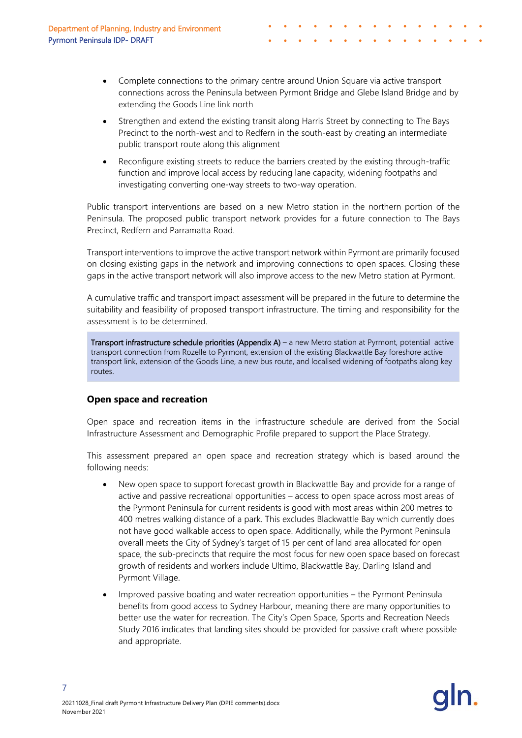- Complete connections to the primary centre around Union Square via active transport connections across the Peninsula between Pyrmont Bridge and Glebe Island Bridge and by extending the Goods Line link north
- Strengthen and extend the existing transit along Harris Street by connecting to The Bays Precinct to the north-west and to Redfern in the south-east by creating an intermediate public transport route along this alignment
- Reconfigure existing streets to reduce the barriers created by the existing through-traffic function and improve local access by reducing lane capacity, widening footpaths and investigating converting one-way streets to two-way operation.

Public transport interventions are based on a new Metro station in the northern portion of the Peninsula. The proposed public transport network provides for a future connection to The Bays Precinct, Redfern and Parramatta Road.

Transport interventions to improve the active transport network within Pyrmont are primarily focused on closing existing gaps in the network and improving connections to open spaces. Closing these gaps in the active transport network will also improve access to the new Metro station at Pyrmont.

A cumulative traffic and transport impact assessment will be prepared in the future to determine the suitability and feasibility of proposed transport infrastructure. The timing and responsibility for the assessment is to be determined.

Transport infrastructure schedule priorities (Appendix A) – a new Metro station at Pyrmont, potential active transport connection from Rozelle to Pyrmont, extension of the existing Blackwattle Bay foreshore active transport link, extension of the Goods Line, a new bus route, and localised widening of footpaths along key routes.

### **Open space and recreation**

Open space and recreation items in the infrastructure schedule are derived from the Social Infrastructure Assessment and Demographic Profile prepared to support the Place Strategy.

This assessment prepared an open space and recreation strategy which is based around the following needs:

- New open space to support forecast growth in Blackwattle Bay and provide for a range of active and passive recreational opportunities – access to open space across most areas of the Pyrmont Peninsula for current residents is good with most areas within 200 metres to 400 metres walking distance of a park. This excludes Blackwattle Bay which currently does not have good walkable access to open space. Additionally, while the Pyrmont Peninsula overall meets the City of Sydney's target of 15 per cent of land area allocated for open space, the sub-precincts that require the most focus for new open space based on forecast growth of residents and workers include Ultimo, Blackwattle Bay, Darling Island and Pyrmont Village.
- Improved passive boating and water recreation opportunities the Pyrmont Peninsula benefits from good access to Sydney Harbour, meaning there are many opportunities to better use the water for recreation. The City's Open Space, Sports and Recreation Needs Study 2016 indicates that landing sites should be provided for passive craft where possible and appropriate.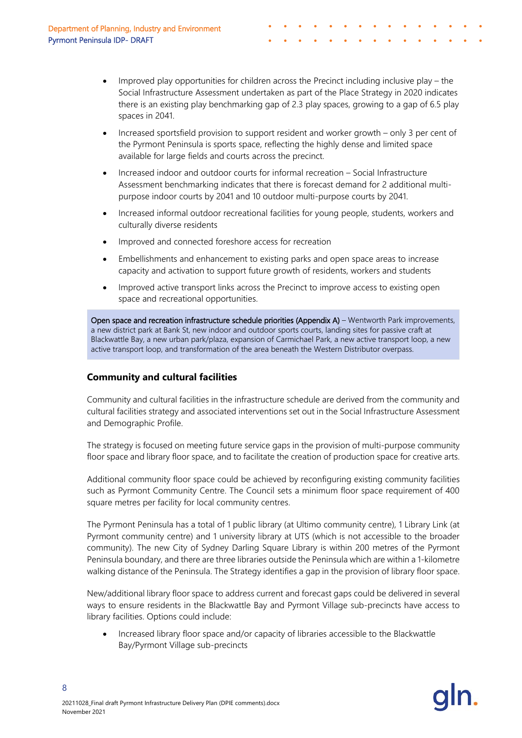- Improved play opportunities for children across the Precinct including inclusive play the Social Infrastructure Assessment undertaken as part of the Place Strategy in 2020 indicates there is an existing play benchmarking gap of 2.3 play spaces, growing to a gap of 6.5 play spaces in 2041.
- Increased sportsfield provision to support resident and worker growth only 3 per cent of the Pyrmont Peninsula is sports space, reflecting the highly dense and limited space available for large fields and courts across the precinct.
- Increased indoor and outdoor courts for informal recreation Social Infrastructure Assessment benchmarking indicates that there is forecast demand for 2 additional multipurpose indoor courts by 2041 and 10 outdoor multi-purpose courts by 2041.
- Increased informal outdoor recreational facilities for young people, students, workers and culturally diverse residents
- Improved and connected foreshore access for recreation
- Embellishments and enhancement to existing parks and open space areas to increase capacity and activation to support future growth of residents, workers and students
- Improved active transport links across the Precinct to improve access to existing open space and recreational opportunities.

Open space and recreation infrastructure schedule priorities (Appendix A) – Wentworth Park improvements, a new district park at Bank St, new indoor and outdoor sports courts, landing sites for passive craft at Blackwattle Bay, a new urban park/plaza, expansion of Carmichael Park, a new active transport loop, a new active transport loop, and transformation of the area beneath the Western Distributor overpass.

## **Community and cultural facilities**

Community and cultural facilities in the infrastructure schedule are derived from the community and cultural facilities strategy and associated interventions set out in the Social Infrastructure Assessment and Demographic Profile.

The strategy is focused on meeting future service gaps in the provision of multi-purpose community floor space and library floor space, and to facilitate the creation of production space for creative arts.

Additional community floor space could be achieved by reconfiguring existing community facilities such as Pyrmont Community Centre. The Council sets a minimum floor space requirement of 400 square metres per facility for local community centres.

The Pyrmont Peninsula has a total of 1 public library (at Ultimo community centre), 1 Library Link (at Pyrmont community centre) and 1 university library at UTS (which is not accessible to the broader community). The new City of Sydney Darling Square Library is within 200 metres of the Pyrmont Peninsula boundary, and there are three libraries outside the Peninsula which are within a 1-kilometre walking distance of the Peninsula. The Strategy identifies a gap in the provision of library floor space.

New/additional library floor space to address current and forecast gaps could be delivered in several ways to ensure residents in the Blackwattle Bay and Pyrmont Village sub-precincts have access to library facilities. Options could include:

• Increased library floor space and/or capacity of libraries accessible to the Blackwattle Bay/Pyrmont Village sub-precincts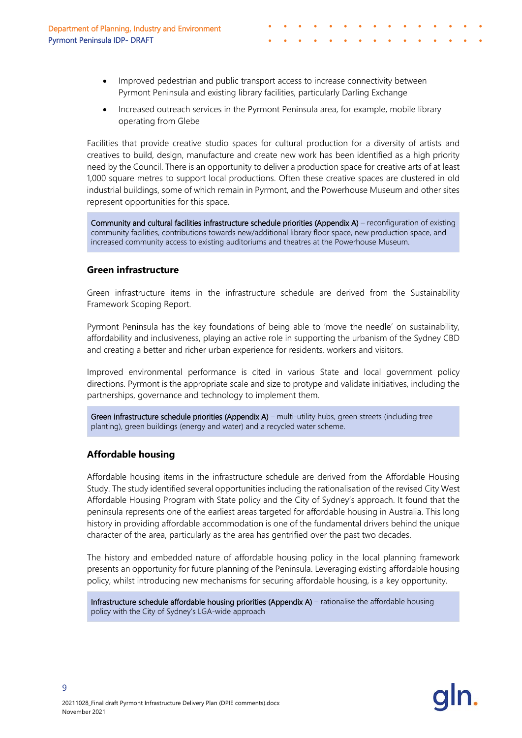- Improved pedestrian and public transport access to increase connectivity between Pyrmont Peninsula and existing library facilities, particularly Darling Exchange
- Increased outreach services in the Pyrmont Peninsula area, for example, mobile library operating from Glebe

Facilities that provide creative studio spaces for cultural production for a diversity of artists and creatives to build, design, manufacture and create new work has been identified as a high priority need by the Council. There is an opportunity to deliver a production space for creative arts of at least 1,000 square metres to support local productions. Often these creative spaces are clustered in old industrial buildings, some of which remain in Pyrmont, and the Powerhouse Museum and other sites represent opportunities for this space.

Community and cultural facilities infrastructure schedule priorities (Appendix A) – reconfiguration of existing community facilities, contributions towards new/additional library floor space, new production space, and increased community access to existing auditoriums and theatres at the Powerhouse Museum.

#### **Green infrastructure**

Green infrastructure items in the infrastructure schedule are derived from the Sustainability Framework Scoping Report.

Pyrmont Peninsula has the key foundations of being able to 'move the needle' on sustainability, affordability and inclusiveness, playing an active role in supporting the urbanism of the Sydney CBD and creating a better and richer urban experience for residents, workers and visitors.

Improved environmental performance is cited in various State and local government policy directions. Pyrmont is the appropriate scale and size to protype and validate initiatives, including the partnerships, governance and technology to implement them.

Green infrastructure schedule priorities (Appendix A) – multi-utility hubs, green streets (including tree planting), green buildings (energy and water) and a recycled water scheme.

#### **Affordable housing**

Affordable housing items in the infrastructure schedule are derived from the Affordable Housing Study. The study identified several opportunities including the rationalisation of the revised City West Affordable Housing Program with State policy and the City of Sydney's approach. It found that the peninsula represents one of the earliest areas targeted for affordable housing in Australia. This long history in providing affordable accommodation is one of the fundamental drivers behind the unique character of the area, particularly as the area has gentrified over the past two decades.

The history and embedded nature of affordable housing policy in the local planning framework presents an opportunity for future planning of the Peninsula. Leveraging existing affordable housing policy, whilst introducing new mechanisms for securing affordable housing, is a key opportunity.

Infrastructure schedule affordable housing priorities (Appendix A) – rationalise the affordable housing policy with the City of Sydney's LGA-wide approach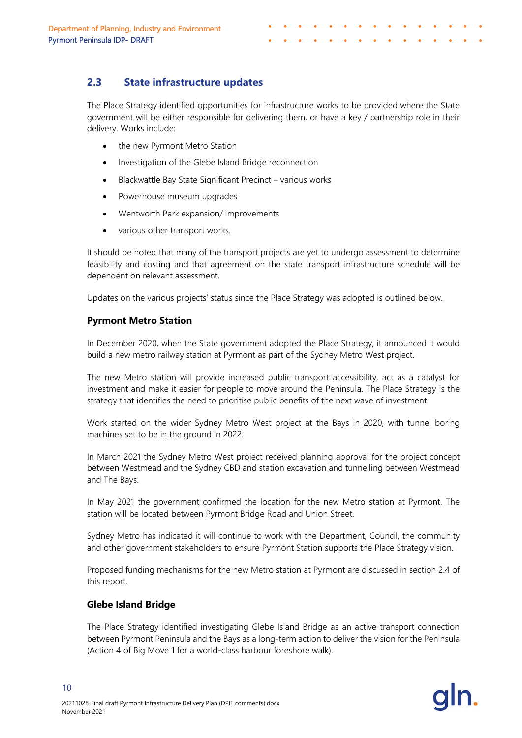<span id="page-12-0"></span>The Place Strategy identified opportunities for infrastructure works to be provided where the State government will be either responsible for delivering them, or have a key / partnership role in their delivery. Works include:

- the new Pyrmont Metro Station
- Investigation of the Glebe Island Bridge reconnection
- Blackwattle Bay State Significant Precinct various works
- Powerhouse museum upgrades
- Wentworth Park expansion/ improvements
- various other transport works.

It should be noted that many of the transport projects are yet to undergo assessment to determine feasibility and costing and that agreement on the state transport infrastructure schedule will be dependent on relevant assessment.

Updates on the various projects' status since the Place Strategy was adopted is outlined below.

#### **Pyrmont Metro Station**

In December 2020, when the State government adopted the Place Strategy, it announced it would build a new metro railway station at Pyrmont as part of the Sydney Metro West project.

The new Metro station will provide increased public transport accessibility, act as a catalyst for investment and make it easier for people to move around the Peninsula. The Place Strategy is the strategy that identifies the need to prioritise public benefits of the next wave of investment.

Work started on the wider Sydney Metro West project at the Bays in 2020, with tunnel boring machines set to be in the ground in 2022.

In March 2021 the Sydney Metro West project received planning approval for the project concept between Westmead and the Sydney CBD and station excavation and tunnelling between Westmead and The Bays.

In May 2021 the government confirmed the location for the new Metro station at Pyrmont. The station will be located between Pyrmont Bridge Road and Union Street.

Sydney Metro has indicated it will continue to work with the Department, Council, the community and other government stakeholders to ensure Pyrmont Station supports the Place Strategy vision.

Proposed funding mechanisms for the new Metro station at Pyrmont are discussed in section [2.4](#page-17-0) of this report.

#### **Glebe Island Bridge**

The Place Strategy identified investigating Glebe Island Bridge as an active transport connection between Pyrmont Peninsula and the Bays as a long-term action to deliver the vision for the Peninsula (Action 4 of Big Move 1 for a world-class harbour foreshore walk).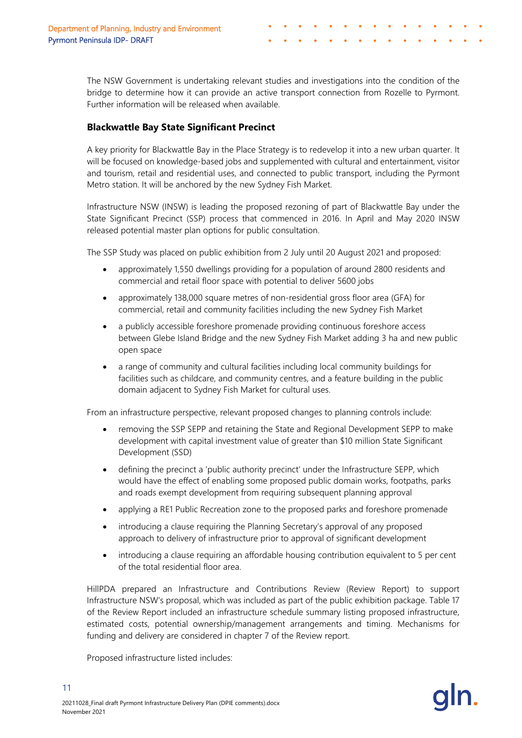The NSW Government is undertaking relevant studies and investigations into the condition of the bridge to determine how it can provide an active transport connection from Rozelle to Pyrmont. Further information will be released when available.

### **Blackwattle Bay State Significant Precinct**

A key priority for Blackwattle Bay in the Place Strategy is to redevelop it into a new urban quarter. It will be focused on knowledge-based jobs and supplemented with cultural and entertainment, visitor and tourism, retail and residential uses, and connected to public transport, including the Pyrmont Metro station. It will be anchored by the new Sydney Fish Market.

Infrastructure NSW (INSW) is leading the proposed rezoning of part of Blackwattle Bay under the State Significant Precinct (SSP) process that commenced in 2016. In April and May 2020 INSW released potential master plan options for public consultation.

The SSP Study was placed on public exhibition from 2 July until 20 August 2021 and proposed:

- approximately 1,550 dwellings providing for a population of around 2800 residents and commercial and retail floor space with potential to deliver 5600 jobs
- approximately 138,000 square metres of non-residential gross floor area (GFA) for commercial, retail and community facilities including the new Sydney Fish Market
- a publicly accessible foreshore promenade providing continuous foreshore access between Glebe Island Bridge and the new Sydney Fish Market adding 3 ha and new public open space
- a range of community and cultural facilities including local community buildings for facilities such as childcare, and community centres, and a feature building in the public domain adjacent to Sydney Fish Market for cultural uses.

From an infrastructure perspective, relevant proposed changes to planning controls include:

- removing the SSP SEPP and retaining the State and Regional Development SEPP to make development with capital investment value of greater than \$10 million State Significant Development (SSD)
- defining the precinct a 'public authority precinct' under the Infrastructure SEPP, which would have the effect of enabling some proposed public domain works, footpaths, parks and roads exempt development from requiring subsequent planning approval
- applying a RE1 Public Recreation zone to the proposed parks and foreshore promenade
- introducing a clause requiring the Planning Secretary's approval of any proposed approach to delivery of infrastructure prior to approval of significant development
- introducing a clause requiring an affordable housing contribution equivalent to 5 per cent of the total residential floor area.

HillPDA prepared an Infrastructure and Contributions Review (Review Report) to support Infrastructure NSW's proposal, which was included as part of the public exhibition package. Table 17 of the Review Report included an infrastructure schedule summary listing proposed infrastructure, estimated costs, potential ownership/management arrangements and timing. Mechanisms for funding and delivery are considered in chapter 7 of the Review report.

Proposed infrastructure listed includes: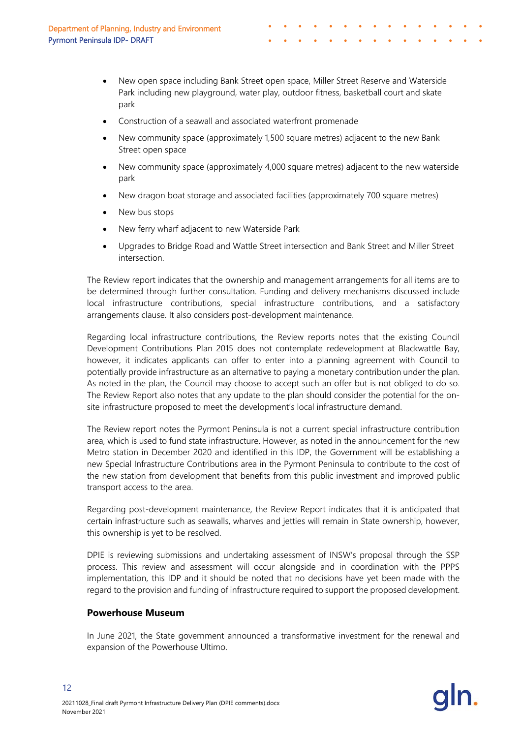- New open space including Bank Street open space, Miller Street Reserve and Waterside Park including new playground, water play, outdoor fitness, basketball court and skate park
- Construction of a seawall and associated waterfront promenade
- New community space (approximately 1,500 square metres) adjacent to the new Bank Street open space
- New community space (approximately 4,000 square metres) adjacent to the new waterside park
- New dragon boat storage and associated facilities (approximately 700 square metres)
- New bus stops
- New ferry wharf adjacent to new Waterside Park
- Upgrades to Bridge Road and Wattle Street intersection and Bank Street and Miller Street intersection.

The Review report indicates that the ownership and management arrangements for all items are to be determined through further consultation. Funding and delivery mechanisms discussed include local infrastructure contributions, special infrastructure contributions, and a satisfactory arrangements clause. It also considers post-development maintenance.

Regarding local infrastructure contributions, the Review reports notes that the existing Council Development Contributions Plan 2015 does not contemplate redevelopment at Blackwattle Bay, however, it indicates applicants can offer to enter into a planning agreement with Council to potentially provide infrastructure as an alternative to paying a monetary contribution under the plan. As noted in the plan, the Council may choose to accept such an offer but is not obliged to do so. The Review Report also notes that any update to the plan should consider the potential for the onsite infrastructure proposed to meet the development's local infrastructure demand.

The Review report notes the Pyrmont Peninsula is not a current special infrastructure contribution area, which is used to fund state infrastructure. However, as noted in the announcement for the new Metro station in December 2020 and identified in this IDP, the Government will be establishing a new Special Infrastructure Contributions area in the Pyrmont Peninsula to contribute to the cost of the new station from development that benefits from this public investment and improved public transport access to the area.

Regarding post-development maintenance, the Review Report indicates that it is anticipated that certain infrastructure such as seawalls, wharves and jetties will remain in State ownership, however, this ownership is yet to be resolved.

DPIE is reviewing submissions and undertaking assessment of INSW's proposal through the SSP process. This review and assessment will occur alongside and in coordination with the PPPS implementation, this IDP and it should be noted that no decisions have yet been made with the regard to the provision and funding of infrastructure required to support the proposed development.

### **Powerhouse Museum**

In June 2021, the State government announced a transformative investment for the renewal and expansion of the Powerhouse Ultimo.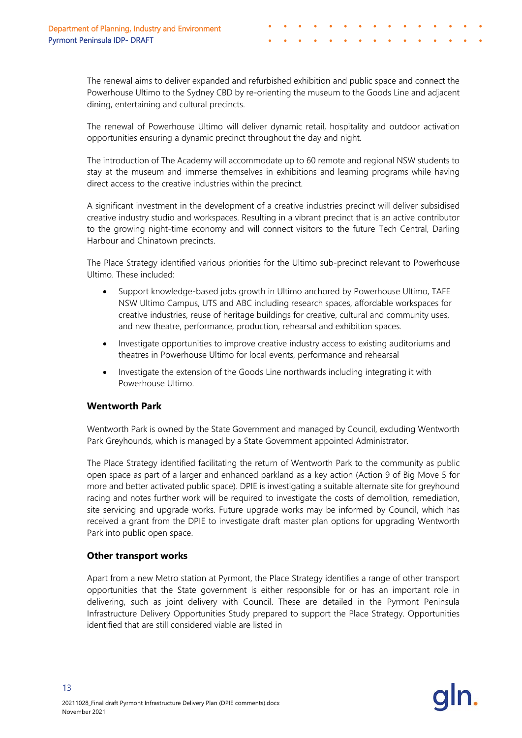The renewal aims to deliver expanded and refurbished exhibition and public space and connect the Powerhouse Ultimo to the Sydney CBD by re-orienting the museum to the Goods Line and adjacent dining, entertaining and cultural precincts.

The renewal of Powerhouse Ultimo will deliver dynamic retail, hospitality and outdoor activation opportunities ensuring a dynamic precinct throughout the day and night.

The introduction of The Academy will accommodate up to 60 remote and regional NSW students to stay at the museum and immerse themselves in exhibitions and learning programs while having direct access to the creative industries within the precinct.

A significant investment in the development of a creative industries precinct will deliver subsidised creative industry studio and workspaces. Resulting in a vibrant precinct that is an active contributor to the growing night-time economy and will connect visitors to the future Tech Central, Darling Harbour and Chinatown precincts.

The Place Strategy identified various priorities for the Ultimo sub-precinct relevant to Powerhouse Ultimo. These included:

- Support knowledge-based jobs growth in Ultimo anchored by Powerhouse Ultimo, TAFE NSW Ultimo Campus, UTS and ABC including research spaces, affordable workspaces for creative industries, reuse of heritage buildings for creative, cultural and community uses, and new theatre, performance, production, rehearsal and exhibition spaces.
- Investigate opportunities to improve creative industry access to existing auditoriums and theatres in Powerhouse Ultimo for local events, performance and rehearsal
- Investigate the extension of the Goods Line northwards including integrating it with Powerhouse Ultimo.

### **Wentworth Park**

Wentworth Park is owned by the State Government and managed by Council, excluding Wentworth Park Greyhounds, which is managed by a State Government appointed Administrator.

The Place Strategy identified facilitating the return of Wentworth Park to the community as public open space as part of a larger and enhanced parkland as a key action (Action 9 of Big Move 5 for more and better activated public space). DPIE is investigating a suitable alternate site for greyhound racing and notes further work will be required to investigate the costs of demolition, remediation, site servicing and upgrade works. Future upgrade works may be informed by Council, which has received a grant from the DPIE to investigate draft master plan options for upgrading Wentworth Park into public open space.

### **Other transport works**

13

Apart from a new Metro station at Pyrmont, the Place Strategy identifies a range of other transport opportunities that the State government is either responsible for or has an important role in delivering, such as joint delivery with Council. These are detailed in the Pyrmont Peninsula Infrastructure Delivery Opportunities Study prepared to support the Place Strategy. Opportunities identified that are still considered viable are listed in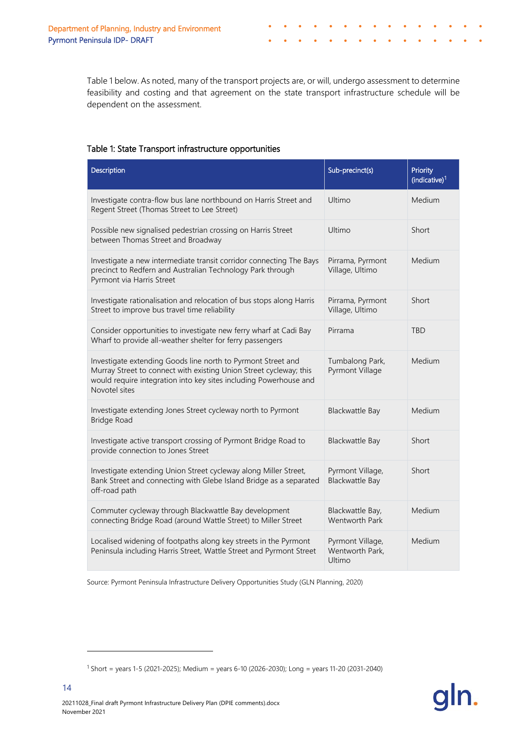[Table 1](#page-16-0) below. As noted, many of the transport projects are, or will, undergo assessment to determine feasibility and costing and that agreement on the state transport infrastructure schedule will be dependent on the assessment.

#### <span id="page-16-0"></span>Table 1: State Transport infrastructure opportunities

| Description                                                                                                                                                                                                              | Sub-precinct(s)                               | Priority<br>(indicative) <sup>1</sup> |
|--------------------------------------------------------------------------------------------------------------------------------------------------------------------------------------------------------------------------|-----------------------------------------------|---------------------------------------|
| Investigate contra-flow bus lane northbound on Harris Street and<br>Regent Street (Thomas Street to Lee Street)                                                                                                          | Ultimo                                        | <b>Medium</b>                         |
| Possible new signalised pedestrian crossing on Harris Street<br>between Thomas Street and Broadway                                                                                                                       | Ultimo                                        | Short                                 |
| Investigate a new intermediate transit corridor connecting The Bays<br>precinct to Redfern and Australian Technology Park through<br>Pyrmont via Harris Street                                                           | Pirrama, Pyrmont<br>Village, Ultimo           | Medium                                |
| Investigate rationalisation and relocation of bus stops along Harris<br>Street to improve bus travel time reliability                                                                                                    | Pirrama, Pyrmont<br>Village, Ultimo           | Short                                 |
| Consider opportunities to investigate new ferry wharf at Cadi Bay<br>Wharf to provide all-weather shelter for ferry passengers                                                                                           | Pirrama                                       | <b>TBD</b>                            |
| Investigate extending Goods line north to Pyrmont Street and<br>Murray Street to connect with existing Union Street cycleway; this<br>would require integration into key sites including Powerhouse and<br>Novotel sites | Tumbalong Park,<br>Pyrmont Village            | Medium                                |
| Investigate extending Jones Street cycleway north to Pyrmont<br><b>Bridge Road</b>                                                                                                                                       | Blackwattle Bay                               | Medium                                |
| Investigate active transport crossing of Pyrmont Bridge Road to<br>provide connection to Jones Street                                                                                                                    | Blackwattle Bay                               | Short                                 |
| Investigate extending Union Street cycleway along Miller Street,<br>Bank Street and connecting with Glebe Island Bridge as a separated<br>off-road path                                                                  | Pyrmont Village,<br>Blackwattle Bay           | Short                                 |
| Commuter cycleway through Blackwattle Bay development<br>connecting Bridge Road (around Wattle Street) to Miller Street                                                                                                  | Blackwattle Bay,<br>Wentworth Park            | Medium                                |
| Localised widening of footpaths along key streets in the Pyrmont<br>Peninsula including Harris Street, Wattle Street and Pyrmont Street                                                                                  | Pyrmont Village,<br>Wentworth Park,<br>Ultimo | Medium                                |

Source: Pyrmont Peninsula Infrastructure Delivery Opportunities Study (GLN Planning, 2020)

<span id="page-16-1"></span><sup>1</sup> Short = years 1-5 (2021-2025); Medium = years 6-10 (2026-2030); Long = years 11-20 (2031-2040)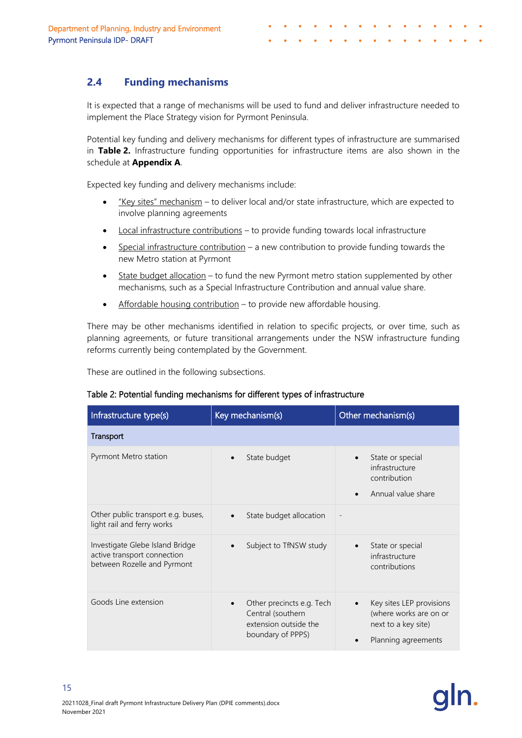# <span id="page-17-0"></span>**2.4 Funding mechanisms**

It is expected that a range of mechanisms will be used to fund and deliver infrastructure needed to implement the Place Strategy vision for Pyrmont Peninsula.

Potential key funding and delivery mechanisms for different types of infrastructure are summarised in **Table 2.** Infrastructure funding opportunities for infrastructure items are also shown in the schedule at **Appendix A**.

Expected key funding and delivery mechanisms include:

- "Key sites" mechanism to deliver local and/or state infrastructure, which are expected to involve planning agreements
- Local infrastructure contributions to provide funding towards local infrastructure
- Special infrastructure contribution  $-$  a new contribution to provide funding towards the new Metro station at Pyrmont
- State budget allocation to fund the new Pyrmont metro station supplemented by other mechanisms, such as a Special Infrastructure Contribution and annual value share.
- Affordable housing contribution to provide new affordable housing.

There may be other mechanisms identified in relation to specific projects, or over time, such as planning agreements, or future transitional arrangements under the NSW infrastructure funding reforms currently being contemplated by the Government.

These are outlined in the following subsections.

| Infrastructure type(s)                                                                        | Key mechanism(s)                                                                             | Other mechanism(s)                                                                               |
|-----------------------------------------------------------------------------------------------|----------------------------------------------------------------------------------------------|--------------------------------------------------------------------------------------------------|
| Transport                                                                                     |                                                                                              |                                                                                                  |
| Pyrmont Metro station                                                                         | State budget<br>$\bullet$                                                                    | State or special<br>infrastructure<br>contribution<br>Annual value share                         |
| Other public transport e.g. buses,<br>light rail and ferry works                              | State budget allocation<br>$\bullet$                                                         |                                                                                                  |
| Investigate Glebe Island Bridge<br>active transport connection<br>between Rozelle and Pyrmont | Subject to TfNSW study                                                                       | State or special<br>infrastructure<br>contributions                                              |
| Goods Line extension                                                                          | Other precincts e.g. Tech<br>Central (southern<br>extension outside the<br>boundary of PPPS) | Key sites LEP provisions<br>(where works are on or<br>next to a key site)<br>Planning agreements |

### Table 2: Potential funding mechanisms for different types of infrastructure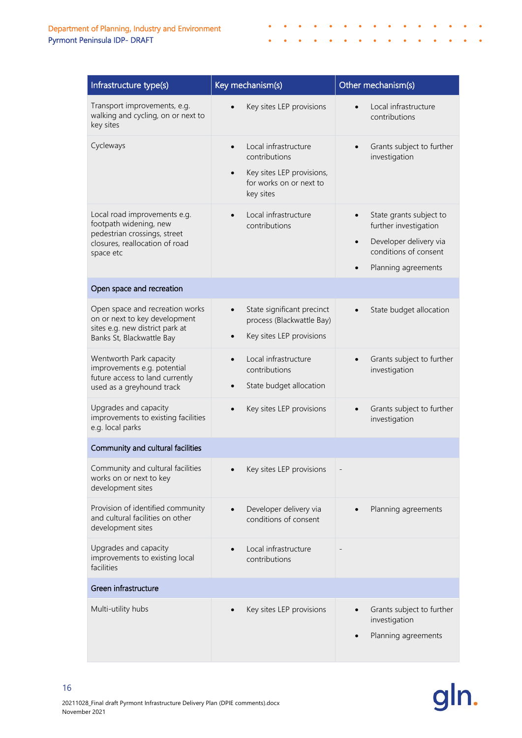| Infrastructure type(s)                                                                                                                | Key mechanism(s)                                                                                                                     | Other mechanism(s)                                                                                                                                   |
|---------------------------------------------------------------------------------------------------------------------------------------|--------------------------------------------------------------------------------------------------------------------------------------|------------------------------------------------------------------------------------------------------------------------------------------------------|
| Transport improvements, e.g.<br>walking and cycling, on or next to<br>key sites                                                       | Key sites LEP provisions                                                                                                             | Local infrastructure<br>contributions                                                                                                                |
| Cycleways                                                                                                                             | Local infrastructure<br>$\bullet$<br>contributions<br>Key sites LEP provisions,<br>$\bullet$<br>for works on or next to<br>key sites | Grants subject to further<br>investigation                                                                                                           |
| Local road improvements e.g.<br>footpath widening, new<br>pedestrian crossings, street<br>closures, reallocation of road<br>space etc | Local infrastructure<br>contributions                                                                                                | State grants subject to<br>further investigation<br>Developer delivery via<br>$\bullet$<br>conditions of consent<br>Planning agreements<br>$\bullet$ |
| Open space and recreation                                                                                                             |                                                                                                                                      |                                                                                                                                                      |
| Open space and recreation works<br>on or next to key development<br>sites e.g. new district park at<br>Banks St, Blackwattle Bay      | State significant precinct<br>$\bullet$<br>process (Blackwattle Bay)<br>Key sites LEP provisions<br>$\bullet$                        | State budget allocation                                                                                                                              |
| Wentworth Park capacity<br>improvements e.g. potential<br>future access to land currently<br>used as a greyhound track                | Local infrastructure<br>contributions<br>State budget allocation                                                                     | Grants subject to further<br>investigation                                                                                                           |
| Upgrades and capacity<br>improvements to existing facilities<br>e.g. local parks                                                      | Key sites LEP provisions                                                                                                             | Grants subject to further<br>investigation                                                                                                           |
| Community and cultural facilities                                                                                                     |                                                                                                                                      |                                                                                                                                                      |
| Community and cultural facilities<br>works on or next to key<br>development sites                                                     | Key sites LEP provisions                                                                                                             |                                                                                                                                                      |
| Provision of identified community<br>and cultural facilities on other<br>development sites                                            | Developer delivery via<br>conditions of consent                                                                                      | Planning agreements                                                                                                                                  |
| Upgrades and capacity<br>improvements to existing local<br>facilities                                                                 | Local infrastructure<br>contributions                                                                                                |                                                                                                                                                      |
| Green infrastructure                                                                                                                  |                                                                                                                                      |                                                                                                                                                      |
| Multi-utility hubs                                                                                                                    | Key sites LEP provisions                                                                                                             | Grants subject to further<br>investigation<br>Planning agreements                                                                                    |

 $\bullet$ 

 $\bullet$ 

 $\epsilon$  $\bullet$  $\bullet$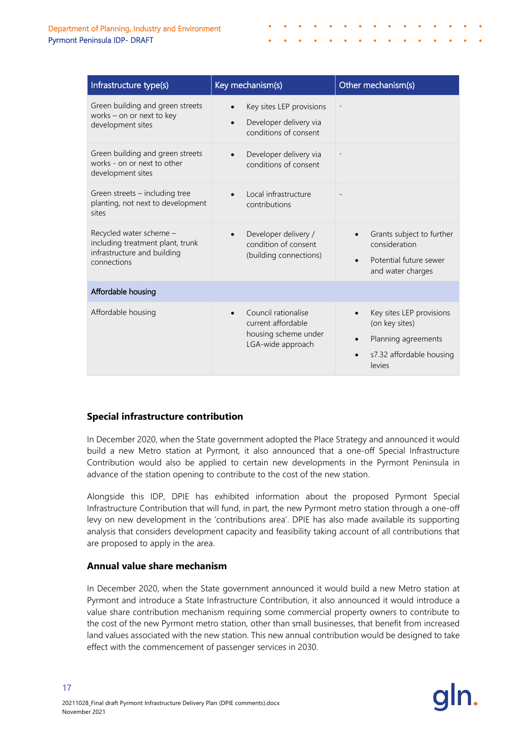| Infrastructure type(s)                                                                                    | Key mechanism(s)                                                                         | Other mechanism(s)                                                                                      |
|-----------------------------------------------------------------------------------------------------------|------------------------------------------------------------------------------------------|---------------------------------------------------------------------------------------------------------|
| Green building and green streets<br>works - on or next to key<br>development sites                        | Key sites LEP provisions<br>Developer delivery via<br>$\bullet$<br>conditions of consent |                                                                                                         |
| Green building and green streets<br>works - on or next to other<br>development sites                      | Developer delivery via<br>$\bullet$<br>conditions of consent                             |                                                                                                         |
| Green streets - including tree<br>planting, not next to development<br>sites                              | Local infrastructure<br>contributions                                                    |                                                                                                         |
| Recycled water scheme -<br>including treatment plant, trunk<br>infrastructure and building<br>connections | Developer delivery /<br>$\bullet$<br>condition of consent<br>(building connections)      | Grants subject to further<br>consideration<br>Potential future sewer<br>and water charges               |
| Affordable housing                                                                                        |                                                                                          |                                                                                                         |
| Affordable housing                                                                                        | Council rationalise<br>current affordable<br>housing scheme under<br>LGA-wide approach   | Key sites LEP provisions<br>(on key sites)<br>Planning agreements<br>s7.32 affordable housing<br>levies |

### **Special infrastructure contribution**

In December 2020, when the State government adopted the Place Strategy and announced it would build a new Metro station at Pyrmont, it also announced that a one-off Special Infrastructure Contribution would also be applied to certain new developments in the Pyrmont Peninsula in advance of the station opening to contribute to the cost of the new station.

Alongside this IDP, DPIE has exhibited information about the proposed Pyrmont Special Infrastructure Contribution that will fund, in part, the new Pyrmont metro station through a one-off levy on new development in the 'contributions area'. DPIE has also made available its supporting analysis that considers development capacity and feasibility taking account of all contributions that are proposed to apply in the area.

### **Annual value share mechanism**

In December 2020, when the State government announced it would build a new Metro station at Pyrmont and introduce a State Infrastructure Contribution, it also announced it would introduce a value share contribution mechanism requiring some commercial property owners to contribute to the cost of the new Pyrmont metro station, other than small businesses, that benefit from increased land values associated with the new station. This new annual contribution would be designed to take effect with the commencement of passenger services in 2030.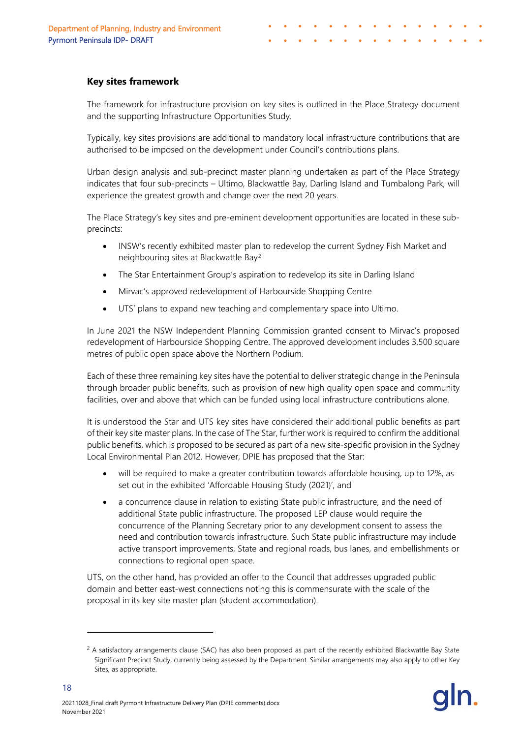#### **Key sites framework**

The framework for infrastructure provision on key sites is outlined in the Place Strategy document and the supporting Infrastructure Opportunities Study.

Typically, key sites provisions are additional to mandatory local infrastructure contributions that are authorised to be imposed on the development under Council's contributions plans.

Urban design analysis and sub-precinct master planning undertaken as part of the Place Strategy indicates that four sub-precincts – Ultimo, Blackwattle Bay, Darling Island and Tumbalong Park, will experience the greatest growth and change over the next 20 years.

The Place Strategy's key sites and pre-eminent development opportunities are located in these subprecincts:

- INSW's recently exhibited master plan to redevelop the current Sydney Fish Market and neighbouring sites at Blackwattle Bay[2](#page-20-0)
- The Star Entertainment Group's aspiration to redevelop its site in Darling Island
- Mirvac's approved redevelopment of Harbourside Shopping Centre
- UTS' plans to expand new teaching and complementary space into Ultimo.

In June 2021 the NSW Independent Planning Commission granted consent to Mirvac's proposed redevelopment of Harbourside Shopping Centre. The approved development includes 3,500 square metres of public open space above the Northern Podium.

Each of these three remaining key sites have the potential to deliver strategic change in the Peninsula through broader public benefits, such as provision of new high quality open space and community facilities, over and above that which can be funded using local infrastructure contributions alone.

It is understood the Star and UTS key sites have considered their additional public benefits as part of their key site master plans. In the case of The Star, further work is required to confirm the additional public benefits, which is proposed to be secured as part of a new site-specific provision in the Sydney Local Environmental Plan 2012. However, DPIE has proposed that the Star:

- will be required to make a greater contribution towards affordable housing, up to 12%, as set out in the exhibited 'Affordable Housing Study (2021)', and
- a concurrence clause in relation to existing State public infrastructure, and the need of additional State public infrastructure. The proposed LEP clause would require the concurrence of the Planning Secretary prior to any development consent to assess the need and contribution towards infrastructure. Such State public infrastructure may include active transport improvements, State and regional roads, bus lanes, and embellishments or connections to regional open space.

UTS, on the other hand, has provided an offer to the Council that addresses upgraded public domain and better east-west connections noting this is commensurate with the scale of the proposal in its key site master plan (student accommodation).

<span id="page-20-0"></span> $<sup>2</sup>$  A satisfactory arrangements clause (SAC) has also been proposed as part of the recently exhibited Blackwattle Bay State</sup> Significant Precinct Study, currently being assessed by the Department. Similar arrangements may also apply to other Key Sites, as appropriate.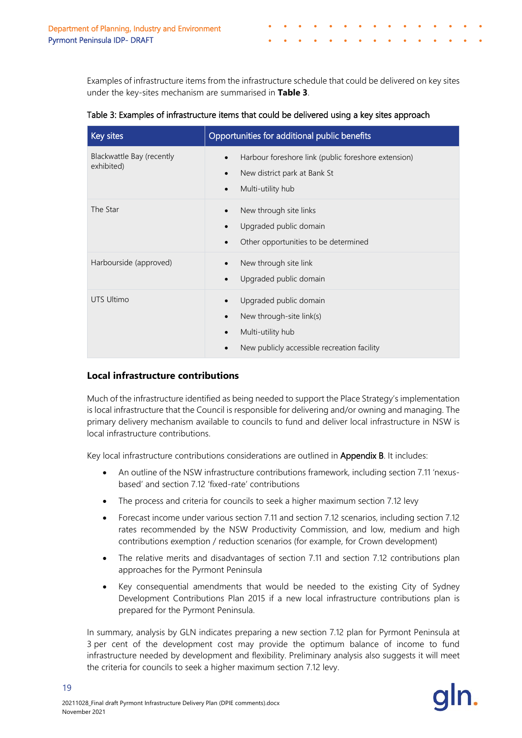Examples of infrastructure items from the infrastructure schedule that could be delivered on key sites under the key-sites mechanism are summarised in **Table 3**.

| Table 3: Examples of infrastructure items that could be delivered using a key sites approach |  |  |  |
|----------------------------------------------------------------------------------------------|--|--|--|
|                                                                                              |  |  |  |

| Key sites                               | Opportunities for additional public benefits                                                                                                                  |
|-----------------------------------------|---------------------------------------------------------------------------------------------------------------------------------------------------------------|
| Blackwattle Bay (recently<br>exhibited) | Harbour foreshore link (public foreshore extension)<br>$\bullet$<br>New district park at Bank St<br>$\bullet$<br>Multi-utility hub<br>$\bullet$               |
| The Star                                | New through site links<br>$\bullet$<br>Upgraded public domain<br>$\bullet$<br>Other opportunities to be determined<br>$\bullet$                               |
| Harbourside (approved)                  | New through site link<br>$\bullet$<br>Upgraded public domain<br>$\bullet$                                                                                     |
| <b>UTS Ultimo</b>                       | Upgraded public domain<br>$\bullet$<br>New through-site link(s)<br>$\bullet$<br>Multi-utility hub<br>$\bullet$<br>New publicly accessible recreation facility |

### **Local infrastructure contributions**

Much of the infrastructure identified as being needed to support the Place Strategy's implementation is local infrastructure that the Council is responsible for delivering and/or owning and managing. The primary delivery mechanism available to councils to fund and deliver local infrastructure in NSW is local infrastructure contributions.

Key local infrastructure contributions considerations are outlined in Appendix B. It includes:

- An outline of the NSW infrastructure contributions framework, including section 7.11 'nexusbased' and section 7.12 'fixed-rate' contributions
- The process and criteria for councils to seek a higher maximum section 7.12 levy
- Forecast income under various section 7.11 and section 7.12 scenarios, including section 7.12 rates recommended by the NSW Productivity Commission, and low, medium and high contributions exemption / reduction scenarios (for example, for Crown development)
- The relative merits and disadvantages of section 7.11 and section 7.12 contributions plan approaches for the Pyrmont Peninsula
- Key consequential amendments that would be needed to the existing City of Sydney Development Contributions Plan 2015 if a new local infrastructure contributions plan is prepared for the Pyrmont Peninsula.

In summary, analysis by GLN indicates preparing a new section 7.12 plan for Pyrmont Peninsula at 3 per cent of the development cost may provide the optimum balance of income to fund infrastructure needed by development and flexibility. Preliminary analysis also suggests it will meet the criteria for councils to seek a higher maximum section 7.12 levy.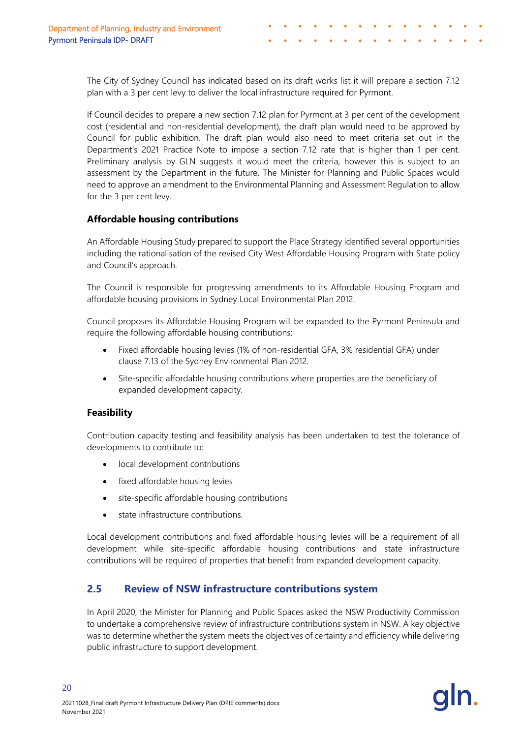The City of Sydney Council has indicated based on its draft works list it will prepare a section 7.12 plan with a 3 per cent levy to deliver the local infrastructure required for Pyrmont.

If Council decides to prepare a new section 7.12 plan for Pyrmont at 3 per cent of the development cost (residential and non-residential development), the draft plan would need to be approved by Council for public exhibition. The draft plan would also need to meet criteria set out in the Department's 2021 Practice Note to impose a section 7.12 rate that is higher than 1 per cent. Preliminary analysis by GLN suggests it would meet the criteria, however this is subject to an assessment by the Department in the future. The Minister for Planning and Public Spaces would need to approve an amendment to the Environmental Planning and Assessment Regulation to allow for the 3 per cent levy.

### **Affordable housing contributions**

An Affordable Housing Study prepared to support the Place Strategy identified several opportunities including the rationalisation of the revised City West Affordable Housing Program with State policy and Council's approach.

The Council is responsible for progressing amendments to its Affordable Housing Program and affordable housing provisions in Sydney Local Environmental Plan 2012.

Council proposes its Affordable Housing Program will be expanded to the Pyrmont Peninsula and require the following affordable housing contributions:

- Fixed affordable housing levies (1% of non-residential GFA, 3% residential GFA) under clause 7.13 of the Sydney Environmental Plan 2012.
- Site-specific affordable housing contributions where properties are the beneficiary of expanded development capacity.

### **Feasibility**

20

Contribution capacity testing and feasibility analysis has been undertaken to test the tolerance of developments to contribute to:

- local development contributions
- fixed affordable housing levies
- site-specific affordable housing contributions
- state infrastructure contributions.

Local development contributions and fixed affordable housing levies will be a requirement of all development while site-specific affordable housing contributions and state infrastructure contributions will be required of properties that benefit from expanded development capacity.

### <span id="page-22-0"></span>**2.5 Review of NSW infrastructure contributions system**

In April 2020, the Minister for Planning and Public Spaces asked the NSW Productivity Commission to undertake a comprehensive review of infrastructure contributions system in NSW. A key objective was to determine whether the system meets the objectives of certainty and efficiency while delivering public infrastructure to support development.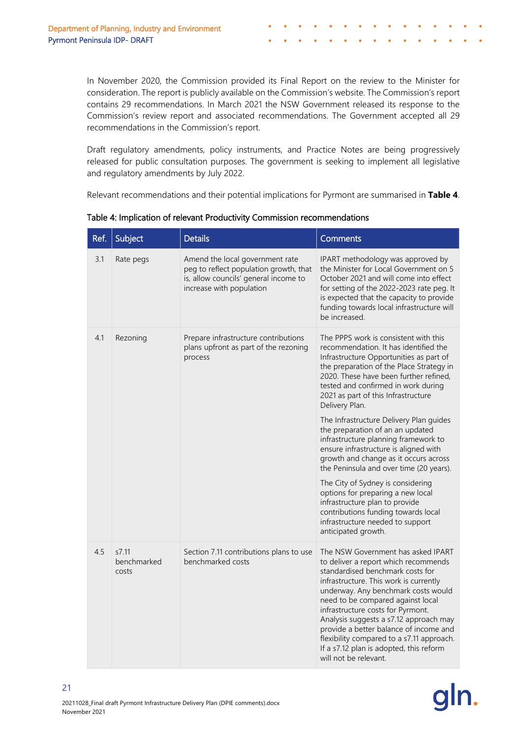In November 2020, the Commission provided its Final Report on the review to the Minister for consideration. The report is publicly available on the Commission's website. The Commission's report contains 29 recommendations. In March 2021 the NSW Government released its response to the Commission's review report and associated recommendations. The Government accepted all 29 recommendations in the Commission's report.

Draft regulatory amendments, policy instruments, and Practice Notes are being progressively released for public consultation purposes. The government is seeking to implement all legislative and regulatory amendments by July 2022.

Relevant recommendations and their potential implications for Pyrmont are summarised in **[Table 4](#page-23-0)**.

| Ref. | Subject                       | <b>Details</b>                                                                                                                                 | <b>Comments</b>                                                                                                                                                                                                                                                                                                                                                                                                                                                                |
|------|-------------------------------|------------------------------------------------------------------------------------------------------------------------------------------------|--------------------------------------------------------------------------------------------------------------------------------------------------------------------------------------------------------------------------------------------------------------------------------------------------------------------------------------------------------------------------------------------------------------------------------------------------------------------------------|
| 3.1  | Rate pegs                     | Amend the local government rate<br>peg to reflect population growth, that<br>is, allow councils' general income to<br>increase with population | IPART methodology was approved by<br>the Minister for Local Government on 5<br>October 2021 and will come into effect<br>for setting of the 2022-2023 rate peg. It<br>is expected that the capacity to provide<br>funding towards local infrastructure will<br>be increased.                                                                                                                                                                                                   |
| 4.1  | Rezoning                      | Prepare infrastructure contributions<br>plans upfront as part of the rezoning<br>process                                                       | The PPPS work is consistent with this<br>recommendation. It has identified the<br>Infrastructure Opportunities as part of<br>the preparation of the Place Strategy in<br>2020. These have been further refined,<br>tested and confirmed in work during<br>2021 as part of this Infrastructure<br>Delivery Plan.                                                                                                                                                                |
|      |                               |                                                                                                                                                | The Infrastructure Delivery Plan guides<br>the preparation of an an updated<br>infrastructure planning framework to<br>ensure infrastructure is aligned with<br>growth and change as it occurs across<br>the Peninsula and over time (20 years).                                                                                                                                                                                                                               |
|      |                               |                                                                                                                                                | The City of Sydney is considering<br>options for preparing a new local<br>infrastructure plan to provide<br>contributions funding towards local<br>infrastructure needed to support<br>anticipated growth.                                                                                                                                                                                                                                                                     |
| 4.5  | s7.11<br>benchmarked<br>costs | Section 7.11 contributions plans to use<br>benchmarked costs                                                                                   | The NSW Government has asked IPART<br>to deliver a report which recommends<br>standardised benchmark costs for<br>infrastructure. This work is currently<br>underway. Any benchmark costs would<br>need to be compared against local<br>infrastructure costs for Pyrmont.<br>Analysis suggests a s7.12 approach may<br>provide a better balance of income and<br>flexibility compared to a s7.11 approach.<br>If a s7.12 plan is adopted, this reform<br>will not be relevant. |

<span id="page-23-0"></span>Table 4: Implication of relevant Productivity Commission recommendations

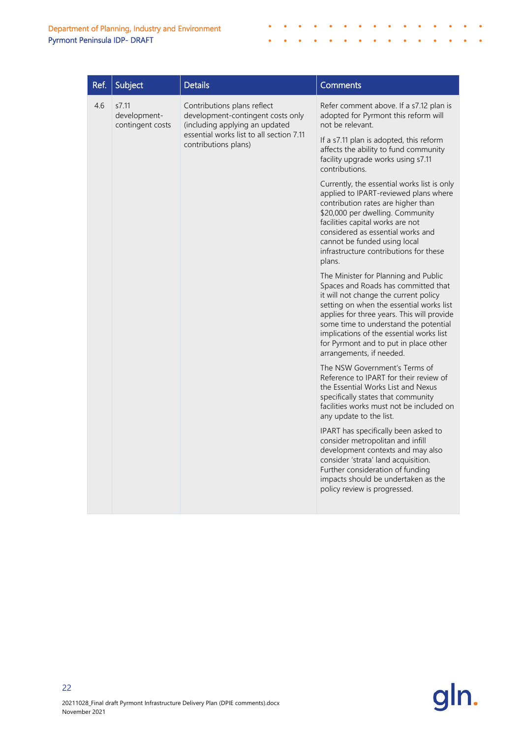| Ref. | Subject                                                                                                                                                                                                                                                                                                                                                                  | <b>Details</b>                                                      | <b>Comments</b>                                                                                                                                                                                                                                                                                                             |
|------|--------------------------------------------------------------------------------------------------------------------------------------------------------------------------------------------------------------------------------------------------------------------------------------------------------------------------------------------------------------------------|---------------------------------------------------------------------|-----------------------------------------------------------------------------------------------------------------------------------------------------------------------------------------------------------------------------------------------------------------------------------------------------------------------------|
| 4.6  | s7.11<br>Contributions plans reflect<br>development-<br>contingent costs<br>essential works list to all section 7.11<br>contributions plans)                                                                                                                                                                                                                             | development-contingent costs only<br>(including applying an updated | Refer comment above. If a s7.12 plan is<br>adopted for Pyrmont this reform will<br>not be relevant.                                                                                                                                                                                                                         |
|      |                                                                                                                                                                                                                                                                                                                                                                          |                                                                     | If a s7.11 plan is adopted, this reform<br>affects the ability to fund community<br>facility upgrade works using s7.11<br>contributions.                                                                                                                                                                                    |
|      |                                                                                                                                                                                                                                                                                                                                                                          |                                                                     | Currently, the essential works list is only<br>applied to IPART-reviewed plans where<br>contribution rates are higher than<br>\$20,000 per dwelling. Community<br>facilities capital works are not<br>considered as essential works and<br>cannot be funded using local<br>infrastructure contributions for these<br>plans. |
|      | The Minister for Planning and Public<br>Spaces and Roads has committed that<br>it will not change the current policy<br>setting on when the essential works list<br>applies for three years. This will provide<br>some time to understand the potential<br>implications of the essential works list<br>for Pyrmont and to put in place other<br>arrangements, if needed. |                                                                     |                                                                                                                                                                                                                                                                                                                             |
|      | The NSW Government's Terms of<br>Reference to IPART for their review of<br>the Essential Works List and Nexus<br>specifically states that community<br>facilities works must not be included on<br>any update to the list.                                                                                                                                               |                                                                     |                                                                                                                                                                                                                                                                                                                             |
|      | IPART has specifically been asked to<br>consider metropolitan and infill<br>development contexts and may also<br>consider 'strata' land acquisition.<br>Further consideration of funding<br>impacts should be undertaken as the<br>policy review is progressed.                                                                                                          |                                                                     |                                                                                                                                                                                                                                                                                                                             |

 $\bullet$  $\bullet$  $\mathcal{L}_{\mathbf{0}}$  $\bullet$ 



 $\mathbf{r}=\mathbf{0}$  , and  $\mathbf{r}=\mathbf{0}$ 

J.

 $\bullet$ 

 $\bullet$  $\bullet$  $\bullet$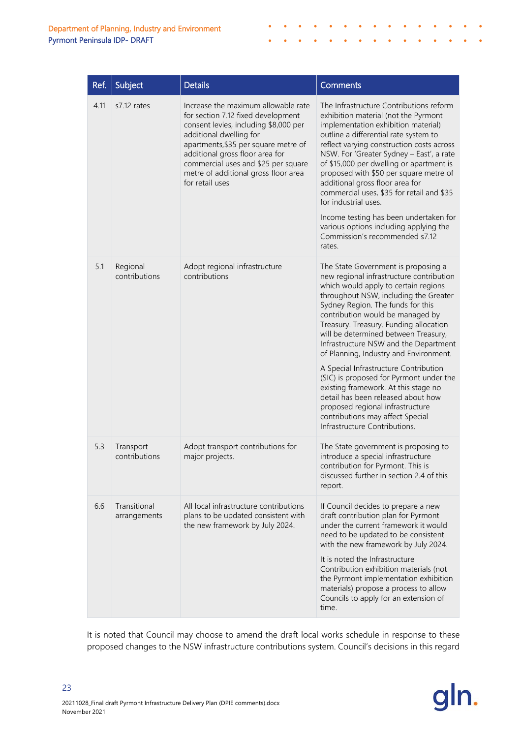| Ref. | Subject                      | <b>Details</b>                                                                                                                                                                                                                                                                                                             | <b>Comments</b>                                                                                                                                                                                                                                                                                                                                                                                                                                                                                                                                                                                                                                                                           |
|------|------------------------------|----------------------------------------------------------------------------------------------------------------------------------------------------------------------------------------------------------------------------------------------------------------------------------------------------------------------------|-------------------------------------------------------------------------------------------------------------------------------------------------------------------------------------------------------------------------------------------------------------------------------------------------------------------------------------------------------------------------------------------------------------------------------------------------------------------------------------------------------------------------------------------------------------------------------------------------------------------------------------------------------------------------------------------|
| 4.11 | s7.12 rates                  | Increase the maximum allowable rate<br>for section 7.12 fixed development<br>consent levies, including \$8,000 per<br>additional dwelling for<br>apartments, \$35 per square metre of<br>additional gross floor area for<br>commercial uses and \$25 per square<br>metre of additional gross floor area<br>for retail uses | The Infrastructure Contributions reform<br>exhibition material (not the Pyrmont<br>implementation exhibition material)<br>outline a differential rate system to<br>reflect varying construction costs across<br>NSW. For 'Greater Sydney - East', a rate<br>of \$15,000 per dwelling or apartment is<br>proposed with \$50 per square metre of<br>additional gross floor area for<br>commercial uses, \$35 for retail and \$35<br>for industrial uses.<br>Income testing has been undertaken for<br>various options including applying the<br>Commission's recommended s7.12<br>rates                                                                                                     |
| 5.1  | Regional<br>contributions    | Adopt regional infrastructure<br>contributions                                                                                                                                                                                                                                                                             | The State Government is proposing a<br>new regional infrastructure contribution<br>which would apply to certain regions<br>throughout NSW, including the Greater<br>Sydney Region. The funds for this<br>contribution would be managed by<br>Treasury. Treasury. Funding allocation<br>will be determined between Treasury,<br>Infrastructure NSW and the Department<br>of Planning, Industry and Environment.<br>A Special Infrastructure Contribution<br>(SIC) is proposed for Pyrmont under the<br>existing framework. At this stage no<br>detail has been released about how<br>proposed regional infrastructure<br>contributions may affect Special<br>Infrastructure Contributions. |
| 5.3  | Transport<br>contributions   | Adopt transport contributions for<br>major projects.                                                                                                                                                                                                                                                                       | The State government is proposing to<br>introduce a special infrastructure<br>contribution for Pyrmont. This is<br>discussed further in section 2.4 of this<br>report.                                                                                                                                                                                                                                                                                                                                                                                                                                                                                                                    |
| 6.6  | Transitional<br>arrangements | All local infrastructure contributions<br>plans to be updated consistent with<br>the new framework by July 2024.                                                                                                                                                                                                           | If Council decides to prepare a new<br>draft contribution plan for Pyrmont<br>under the current framework it would<br>need to be updated to be consistent<br>with the new framework by July 2024.<br>It is noted the Infrastructure<br>Contribution exhibition materials (not<br>the Pyrmont implementation exhibition<br>materials) propose a process to allow<br>Councils to apply for an extension of<br>time.                                                                                                                                                                                                                                                                         |

 $\bullet$  $\bullet$  $\mathcal{L}_{\mathbf{0}}$  $\bullet$ 

It is noted that Council may choose to amend the draft local works schedule in response to these proposed changes to the NSW infrastructure contributions system. Council's decisions in this regard

 $\bullet$ 

 $\bullet$ 

 $\bullet$  ,  $\bullet$  ,  $\bullet$  ,  $\bullet$  ,  $\bullet$ 

 $\Delta$  $\ddot{\phantom{0}}$ 

 $\bullet$  $\bullet$  $\bullet$  $\sim$ 

 $\bullet$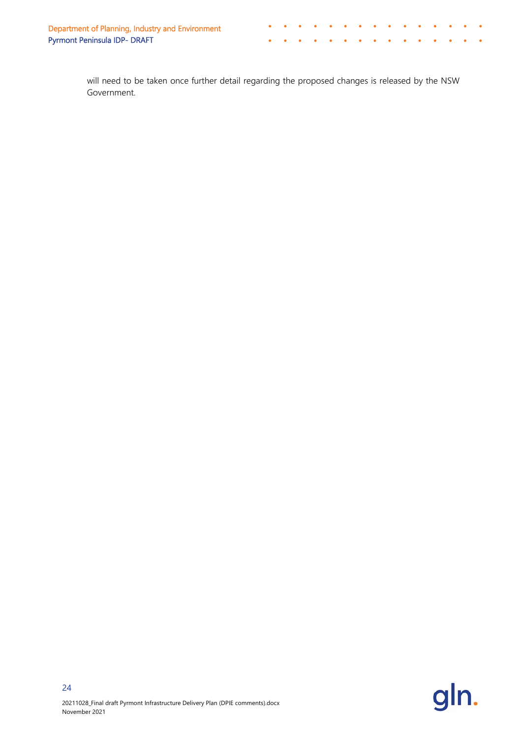will need to be taken once further detail regarding the proposed changes is released by the NSW Government.

 $\hat{\bullet}$  $\bullet$  $\mathcal{L}_{\mathbf{0}}$  $\bullet$ 

> $\Delta$  $\Delta$

 $\bullet$  $\bullet$  $\bullet$  $\bullet$  $\sim$ 

 $\lambda$  $\Delta$ 

 $\bullet$ 

Ä

 $\mathbf{r}=\mathbf{r}+\mathbf{r}+\mathbf{r}$ 

 $\Delta$  $\bullet$ 

 $\bullet$ 

 $\Delta$  $\bullet$   $\bullet$ 

 $\bullet$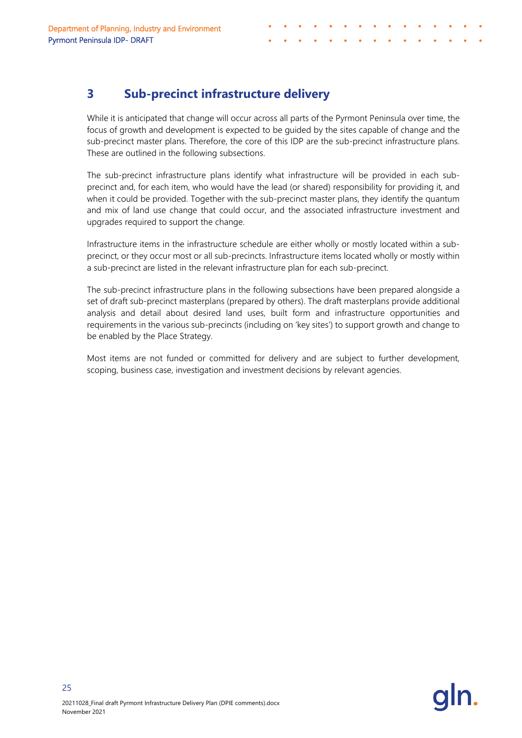# <span id="page-27-0"></span>**3 Sub-precinct infrastructure delivery**

While it is anticipated that change will occur across all parts of the Pyrmont Peninsula over time, the focus of growth and development is expected to be guided by the sites capable of change and the sub-precinct master plans. Therefore, the core of this IDP are the sub-precinct infrastructure plans. These are outlined in the following subsections.

The sub-precinct infrastructure plans identify what infrastructure will be provided in each subprecinct and, for each item, who would have the lead (or shared) responsibility for providing it, and when it could be provided. Together with the sub-precinct master plans, they identify the quantum and mix of land use change that could occur, and the associated infrastructure investment and upgrades required to support the change.

Infrastructure items in the infrastructure schedule are either wholly or mostly located within a subprecinct, or they occur most or all sub-precincts. Infrastructure items located wholly or mostly within a sub-precinct are listed in the relevant infrastructure plan for each sub-precinct.

The sub-precinct infrastructure plans in the following subsections have been prepared alongside a set of draft sub-precinct masterplans (prepared by others). The draft masterplans provide additional analysis and detail about desired land uses, built form and infrastructure opportunities and requirements in the various sub-precincts (including on 'key sites') to support growth and change to be enabled by the Place Strategy.

Most items are not funded or committed for delivery and are subject to further development, scoping, business case, investigation and investment decisions by relevant agencies.

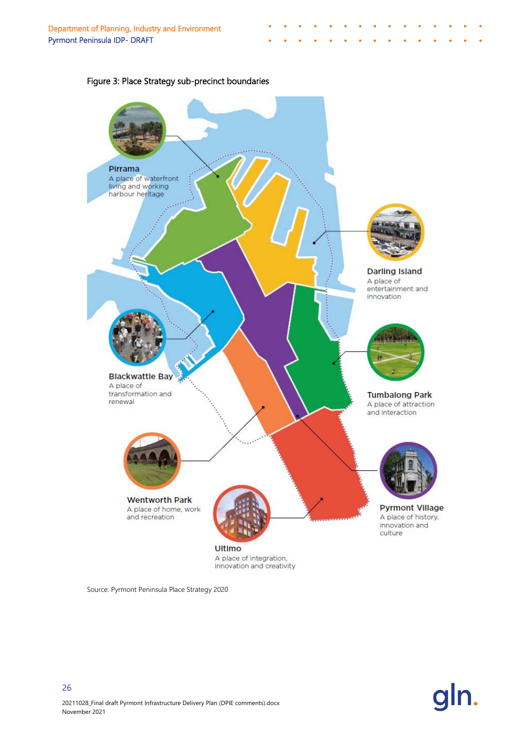

#### Figure 3: Place Strategy sub-precinct boundaries

Source: Pyrmont Peninsula Place Strategy 2020

![](_page_28_Picture_4.jpeg)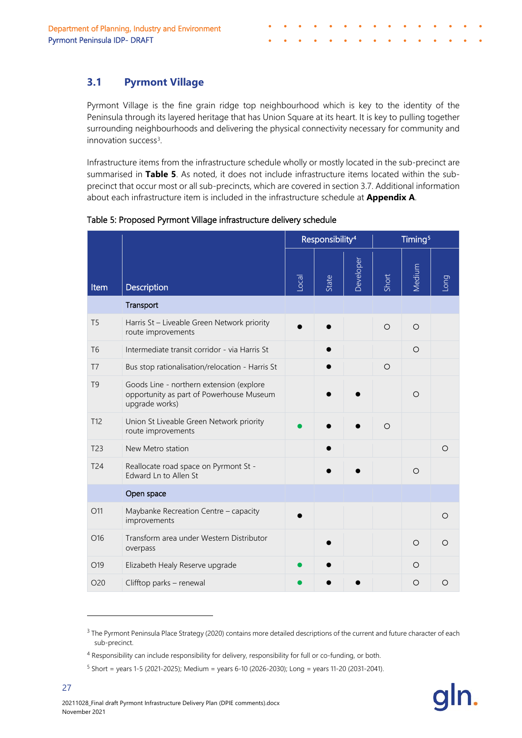# <span id="page-29-0"></span>**3.1 Pyrmont Village**

Pyrmont Village is the fine grain ridge top neighbourhood which is key to the identity of the Peninsula through its layered heritage that has Union Square at its heart. It is key to pulling together surrounding neighbourhoods and delivering the physical connectivity necessary for community and innovation success<sup>3</sup>.

<span id="page-29-4"></span>Infrastructure items from the infrastructure schedule wholly or mostly located in the sub-precinct are summarised in **Table 5**. As noted, it does not include infrastructure items located within the subprecinct that occur most or all sub-precincts, which are covered in section 3.7. Additional information about each infrastructure item is included in the infrastructure schedule at **Appendix A**.

|                 |                                                                                                        | Responsibility <sup>4</sup> |       | Timing <sup>5</sup> |         |         |      |
|-----------------|--------------------------------------------------------------------------------------------------------|-----------------------------|-------|---------------------|---------|---------|------|
| Item            | <b>Description</b>                                                                                     | Local                       | State | Developer           | Short   | Medium  | puoi |
|                 | Transport                                                                                              |                             |       |                     |         |         |      |
| T <sub>5</sub>  | Harris St - Liveable Green Network priority<br>route improvements                                      |                             |       |                     | $\circ$ | $\circ$ |      |
| T <sub>6</sub>  | Intermediate transit corridor - via Harris St                                                          |                             |       |                     |         | $\circ$ |      |
| T <sub>7</sub>  | Bus stop rationalisation/relocation - Harris St                                                        |                             |       |                     | $\circ$ |         |      |
| T <sub>9</sub>  | Goods Line - northern extension (explore<br>opportunity as part of Powerhouse Museum<br>upgrade works) |                             |       |                     |         | $\circ$ |      |
| T12             | Union St Liveable Green Network priority<br>route improvements                                         |                             |       |                     | $\circ$ |         |      |
| T <sub>23</sub> | New Metro station                                                                                      |                             |       |                     |         |         | O    |
| T24             | Reallocate road space on Pyrmont St -<br>Edward Ln to Allen St                                         |                             |       |                     |         | $\circ$ |      |
|                 | Open space                                                                                             |                             |       |                     |         |         |      |
| O11             | Maybanke Recreation Centre - capacity<br>improvements                                                  |                             |       |                     |         |         | O    |
| O16             | Transform area under Western Distributor<br>overpass                                                   |                             |       |                     |         | $\circ$ | O    |
| O19             | Elizabeth Healy Reserve upgrade                                                                        |                             |       |                     |         | O       |      |
| O <sub>20</sub> | Clifftop parks - renewal                                                                               |                             |       |                     |         | $\circ$ | O    |

Table 5: Proposed Pyrmont Village infrastructure delivery schedule

<span id="page-29-1"></span><sup>&</sup>lt;sup>3</sup> The Pyrmont Peninsula Place Strategy (2020) contains more detailed descriptions of the current and future character of each sub-precinct.

<span id="page-29-2"></span><sup>4</sup> Responsibility can include responsibility for delivery, responsibility for full or co-funding, or both.

<span id="page-29-3"></span> $5$  Short = years 1-5 (2021-2025); Medium = years 6-10 (2026-2030); Long = years 11-20 (2031-2041).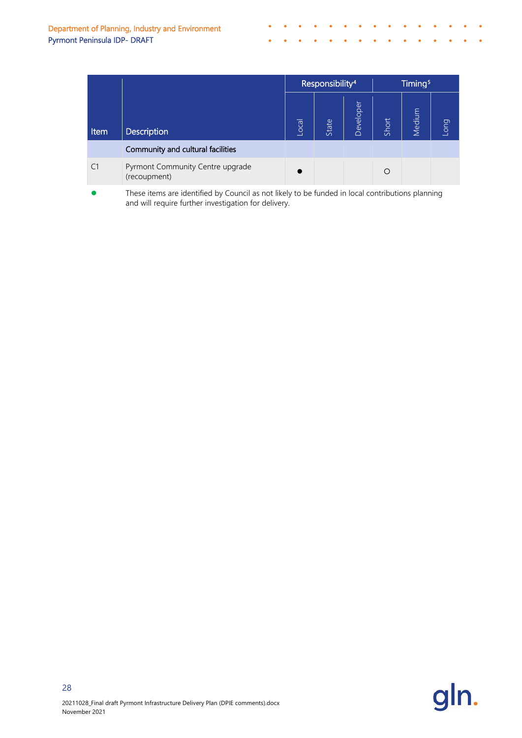|                |                                                  | Responsibility <sup>4</sup> |       | Timing <sup>5</sup> |       |        |                        |
|----------------|--------------------------------------------------|-----------------------------|-------|---------------------|-------|--------|------------------------|
| Item           | <b>Description</b>                               | Local                       | State | Developer           | Short | Medium | <b>Duo<sub>T</sub></b> |
|                | Community and cultural facilities                |                             |       |                     |       |        |                        |
| C <sub>1</sub> | Pyrmont Community Centre upgrade<br>(recoupment) |                             |       |                     | O     |        |                        |
|                |                                                  |                             |       |                     |       |        |                        |

 $\bullet$  $\bullet$  $\sim$  $\mathcal{L}_{\mathbf{0}}$ 

 $\Delta$ 

 $\bullet$  $\bullet$  $\bullet$  $\mathcal{L}$ 

> $\mathbf{A}$  $\ddot{\bullet}$

**Contract Contract Contract Contract Contract** 

 $\lambda$ 

 $\sim 10^{-10}$  km  $^{-1}$ 

 $\bullet$ 

 These items are identified by Council as not likely to be funded in local contributions planning and will require further investigation for delivery.

![](_page_30_Picture_3.jpeg)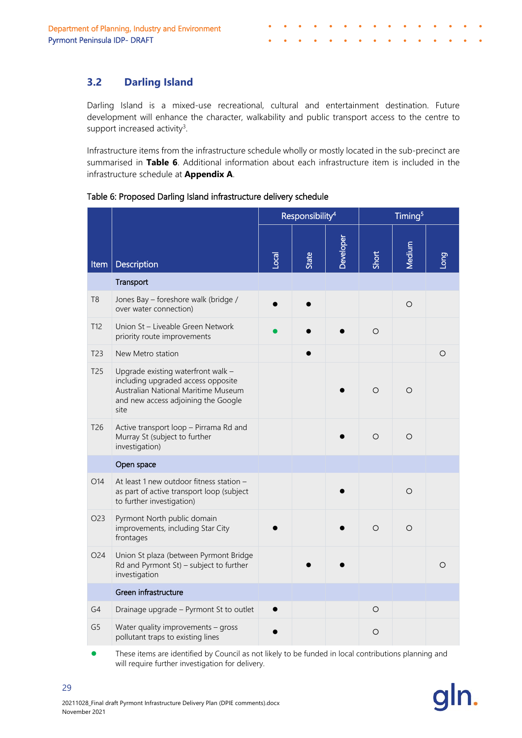## <span id="page-31-0"></span>**3.2 Darling Island**

Darling Island is a mixed-use recreational, cultural and entertainment destination. Future development will enhance the character, walkability and public transport access to the centre to support increased activity<sup>3</sup>.

Infrastructure items from the infrastructure schedule wholly or mostly located in the sub-precinct are summarised in **Table 6**. Additional information about each infrastructure item is included in the infrastructure schedule at **Appendix A**.

Table 6: Proposed Darling Island infrastructure delivery schedule

|                 |                                                                                                                                                                | Responsibility <sup>4</sup> |              |           | Timing <sup>5</sup> |         |          |  |
|-----------------|----------------------------------------------------------------------------------------------------------------------------------------------------------------|-----------------------------|--------------|-----------|---------------------|---------|----------|--|
| Item            | Description                                                                                                                                                    | Local                       | <b>State</b> | Developer | Short               | Medium  | Duo      |  |
|                 | Transport                                                                                                                                                      |                             |              |           |                     |         |          |  |
| T <sub>8</sub>  | Jones Bay - foreshore walk (bridge /<br>over water connection)                                                                                                 |                             |              |           |                     | $\circ$ |          |  |
| T12             | Union St - Liveable Green Network<br>priority route improvements                                                                                               |                             |              |           | $\circ$             |         |          |  |
| T <sub>23</sub> | New Metro station                                                                                                                                              |                             |              |           |                     |         | $\circ$  |  |
| T <sub>25</sub> | Upgrade existing waterfront walk -<br>including upgraded access opposite<br>Australian National Maritime Museum<br>and new access adjoining the Google<br>site |                             |              |           | $\circ$             | $\circ$ |          |  |
| T26             | Active transport loop - Pirrama Rd and<br>Murray St (subject to further<br>investigation)                                                                      |                             |              |           | $\circ$             | $\circ$ |          |  |
|                 | Open space                                                                                                                                                     |                             |              |           |                     |         |          |  |
| O14             | At least 1 new outdoor fitness station -<br>as part of active transport loop (subject<br>to further investigation)                                             |                             |              |           |                     | $\circ$ |          |  |
| O23             | Pyrmont North public domain<br>improvements, including Star City<br>frontages                                                                                  |                             |              |           | $\circ$             | $\circ$ |          |  |
| O <sub>24</sub> | Union St plaza (between Pyrmont Bridge<br>Rd and Pyrmont St) - subject to further<br>investigation                                                             |                             |              |           |                     |         | $\Omega$ |  |
|                 | Green infrastructure                                                                                                                                           |                             |              |           |                     |         |          |  |
| G4              | Drainage upgrade - Pyrmont St to outlet                                                                                                                        |                             |              |           | $\circ$             |         |          |  |
| G <sub>5</sub>  | Water quality improvements - gross<br>pollutant traps to existing lines                                                                                        |                             |              |           | $\circ$             |         |          |  |

 These items are identified by Council as not likely to be funded in local contributions planning and will require further investigation for delivery.

![](_page_31_Picture_7.jpeg)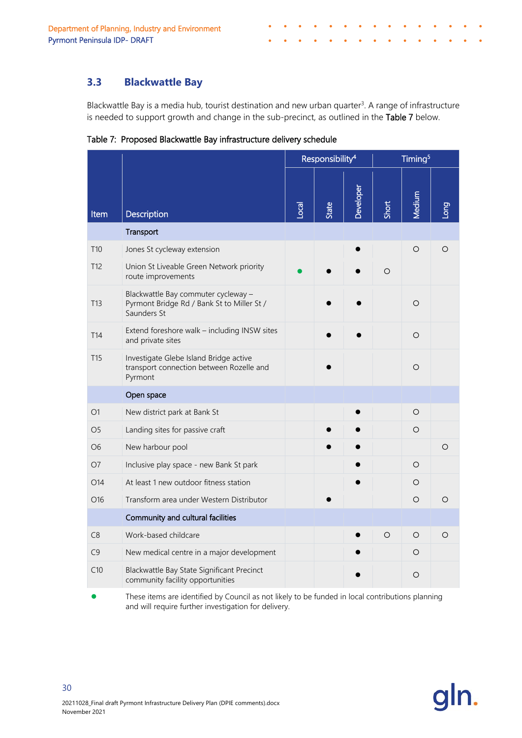## <span id="page-32-0"></span>**3.3 Blackwattle Bay**

Blackwattle Bay is a media hub, tourist destination and new urban quarter<sup>3</sup>. A range of infrastructure is needed to support growth and change in the sub-precinct, as outlined in the Table 7 below.

Table 7: Proposed Blackwattle Bay infrastructure delivery schedule

|                 |                                                                                                  | Responsibility <sup>4</sup> |              |           |         | Timing <sup>5</sup> |         |
|-----------------|--------------------------------------------------------------------------------------------------|-----------------------------|--------------|-----------|---------|---------------------|---------|
| <b>Item</b>     | <b>Description</b>                                                                               | $\overline{\text{real}}$    | <b>State</b> | Developer | Short   | <b>Medium</b>       | Buon    |
|                 | Transport                                                                                        |                             |              |           |         |                     |         |
| T <sub>10</sub> | Jones St cycleway extension                                                                      |                             |              |           |         | $\circ$             | O       |
| T <sub>12</sub> | Union St Liveable Green Network priority<br>route improvements                                   |                             |              |           | $\circ$ |                     |         |
| T <sub>13</sub> | Blackwattle Bay commuter cycleway -<br>Pyrmont Bridge Rd / Bank St to Miller St /<br>Saunders St |                             |              |           |         | $\circ$             |         |
| T <sub>14</sub> | Extend foreshore walk - including INSW sites<br>and private sites                                |                             |              |           |         | $\circ$             |         |
| T <sub>15</sub> | Investigate Glebe Island Bridge active<br>transport connection between Rozelle and<br>Pyrmont    |                             |              |           |         | $\circ$             |         |
|                 | Open space                                                                                       |                             |              |           |         |                     |         |
| O1              | New district park at Bank St                                                                     |                             |              |           |         | $\circ$             |         |
| O <sub>5</sub>  | Landing sites for passive craft                                                                  |                             |              |           |         | $\circ$             |         |
| O <sub>6</sub>  | New harbour pool                                                                                 |                             |              |           |         |                     | O       |
| O <sub>7</sub>  | Inclusive play space - new Bank St park                                                          |                             |              |           |         | $\circ$             |         |
| O14             | At least 1 new outdoor fitness station                                                           |                             |              |           |         | $\circ$             |         |
| O <sub>16</sub> | Transform area under Western Distributor                                                         |                             |              |           |         | $\circ$             | O       |
|                 | Community and cultural facilities                                                                |                             |              |           |         |                     |         |
| C8              | Work-based childcare                                                                             |                             |              |           | $\circ$ | $\circ$             | $\circ$ |
| C9              | New medical centre in a major development                                                        |                             |              |           |         | $\circ$             |         |
| C10             | Blackwattle Bay State Significant Precinct<br>community facility opportunities                   |                             |              |           |         | O                   |         |

 These items are identified by Council as not likely to be funded in local contributions planning and will require further investigation for delivery.

![](_page_32_Picture_6.jpeg)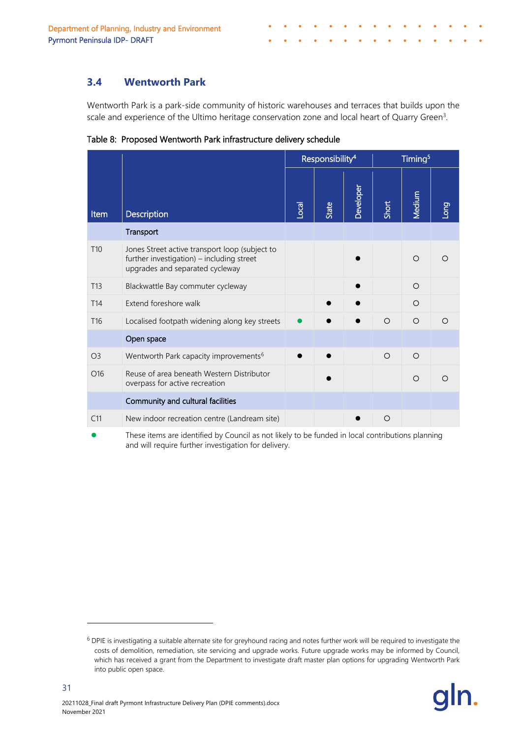## <span id="page-33-0"></span>**3.4 Wentworth Park**

Wentworth Park is a park-side community of historic warehouses and terraces that builds upon the scale and experience of the Ultimo heritage conservation zone and local heart of Quarry Green<sup>3</sup>.

|                 |                                                                                                                                | Responsibility <sup>4</sup> |       |           |         | Timing <sup>5</sup> |            |
|-----------------|--------------------------------------------------------------------------------------------------------------------------------|-----------------------------|-------|-----------|---------|---------------------|------------|
| <b>Item</b>     | <b>Description</b>                                                                                                             | <b>Local</b>                | State | Developer | Short   | <b>Medium</b>       | <b>Duo</b> |
|                 | Transport                                                                                                                      |                             |       |           |         |                     |            |
| T <sub>10</sub> | Jones Street active transport loop (subject to<br>further investigation) - including street<br>upgrades and separated cycleway |                             |       |           |         | $\Omega$            |            |
| T <sub>13</sub> | Blackwattle Bay commuter cycleway                                                                                              |                             |       |           |         | $\circ$             |            |
| T <sub>14</sub> | Extend foreshore walk                                                                                                          |                             |       |           |         | $\Omega$            |            |
| T <sub>16</sub> | Localised footpath widening along key streets                                                                                  |                             |       |           | $\circ$ | $\circ$             |            |
|                 | Open space                                                                                                                     |                             |       |           |         |                     |            |
| O <sub>3</sub>  | Wentworth Park capacity improvements <sup>6</sup>                                                                              |                             |       |           | $\circ$ | $\circ$             |            |
| O <sub>16</sub> | Reuse of area beneath Western Distributor<br>overpass for active recreation                                                    |                             |       |           |         | $\circ$             |            |
|                 | Community and cultural facilities                                                                                              |                             |       |           |         |                     |            |
| C11             | New indoor recreation centre (Landream site)                                                                                   |                             |       |           | $\circ$ |                     |            |

Table 8: Proposed Wentworth Park infrastructure delivery schedule

 These items are identified by Council as not likely to be funded in local contributions planning and will require further investigation for delivery.

<span id="page-33-1"></span> $6$  DPIE is investigating a suitable alternate site for greyhound racing and notes further work will be required to investigate the costs of demolition, remediation, site servicing and upgrade works. Future upgrade works may be informed by Council, which has received a grant from the Department to investigate draft master plan options for upgrading Wentworth Park into public open space.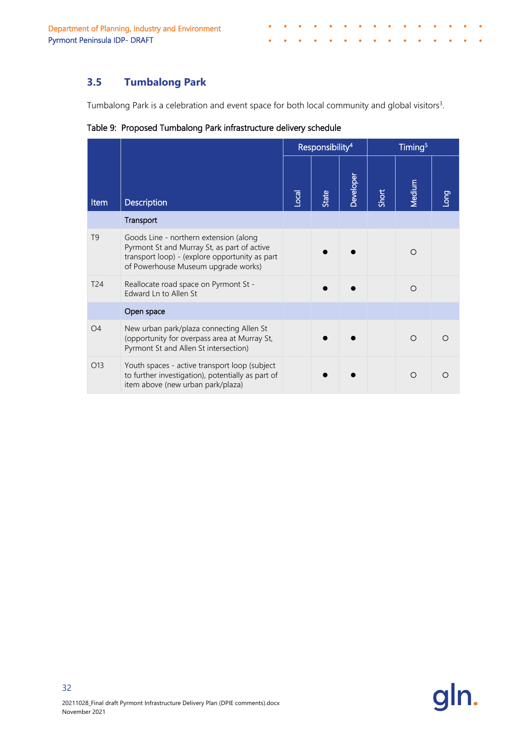# <span id="page-34-0"></span>**3.5 Tumbalong Park**

Tumbalong Park is a celebration and event space for both local community and global visitors<sup>3</sup>.

 $\bullet$ 

 $\bullet$  $\bullet$  $\bullet$  $\bullet$ 

|                 |                                                                                                                                                                                | Responsibility <sup>4</sup> |              |           | Timing <sup>5</sup> |               |      |
|-----------------|--------------------------------------------------------------------------------------------------------------------------------------------------------------------------------|-----------------------------|--------------|-----------|---------------------|---------------|------|
| Item            | <b>Description</b>                                                                                                                                                             | Local                       | <b>State</b> | Developer | Short               | <b>Medium</b> | Buon |
|                 | Transport                                                                                                                                                                      |                             |              |           |                     |               |      |
| T <sub>9</sub>  | Goods Line - northern extension (along<br>Pyrmont St and Murray St, as part of active<br>transport loop) - (explore opportunity as part<br>of Powerhouse Museum upgrade works) |                             |              |           |                     | $\Omega$      |      |
| T <sub>24</sub> | Reallocate road space on Pyrmont St -<br>Edward Ln to Allen St                                                                                                                 |                             |              |           |                     | $\bigcirc$    |      |
|                 | Open space                                                                                                                                                                     |                             |              |           |                     |               |      |
| O <sub>4</sub>  | New urban park/plaza connecting Allen St<br>(opportunity for overpass area at Murray St,<br>Pyrmont St and Allen St intersection)                                              |                             |              |           |                     | $\bigcirc$    | ∩    |
| O13             | Youth spaces - active transport loop (subject<br>to further investigation), potentially as part of<br>item above (new urban park/plaza)                                        |                             |              |           |                     | ∩             |      |

Table 9: Proposed Tumbalong Park infrastructure delivery schedule

![](_page_34_Picture_5.jpeg)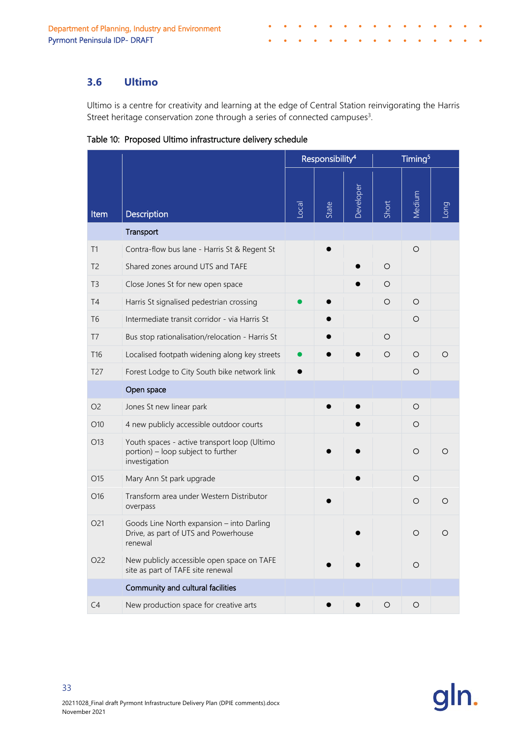## <span id="page-35-0"></span>**3.6 Ultimo**

Ultimo is a centre for creativity and learning at the edge of Central Station reinvigorating the Harris Street heritage conservation zone through a series of connected campuses<sup>3</sup>.

Table 10: Proposed Ultimo infrastructure delivery schedule

|                 |                                                                                                     | Responsibility <sup>4</sup> |       |           |                     | Timing <sup>5</sup> |            |
|-----------------|-----------------------------------------------------------------------------------------------------|-----------------------------|-------|-----------|---------------------|---------------------|------------|
| <b>Item</b>     | Description                                                                                         | Local                       | State | Developer | Short               | Medium              | <b>Duo</b> |
|                 | Transport                                                                                           |                             |       |           |                     |                     |            |
| T1              | Contra-flow bus lane - Harris St & Regent St                                                        |                             |       |           |                     | $\circ$             |            |
| T <sub>2</sub>  | Shared zones around UTS and TAFE                                                                    |                             |       |           | $\circ$             |                     |            |
| T <sub>3</sub>  | Close Jones St for new open space                                                                   |                             |       |           | O                   |                     |            |
| T <sub>4</sub>  | Harris St signalised pedestrian crossing                                                            |                             |       |           | O                   | O                   |            |
| T <sub>6</sub>  | Intermediate transit corridor - via Harris St                                                       |                             |       |           |                     | $\circ$             |            |
| T <sub>7</sub>  | Bus stop rationalisation/relocation - Harris St                                                     |                             |       |           | O                   |                     |            |
| T <sub>16</sub> | Localised footpath widening along key streets                                                       |                             |       |           | O                   | O                   | O          |
| T <sub>27</sub> | Forest Lodge to City South bike network link                                                        |                             |       |           |                     | O                   |            |
|                 | Open space                                                                                          |                             |       |           |                     |                     |            |
| O <sub>2</sub>  | Jones St new linear park                                                                            |                             |       |           |                     | $\circ$             |            |
| O10             | 4 new publicly accessible outdoor courts                                                            |                             |       |           |                     | O                   |            |
| O13             | Youth spaces - active transport loop (Ultimo<br>portion) - loop subject to further<br>investigation |                             |       |           |                     | O                   | Ω          |
| O15             | Mary Ann St park upgrade                                                                            |                             |       |           |                     | $\circ$             |            |
| O16             | Transform area under Western Distributor<br>overpass                                                |                             |       |           |                     | O                   | O          |
| O <sub>21</sub> | Goods Line North expansion - into Darling<br>Drive, as part of UTS and Powerhouse<br>renewal        |                             |       |           |                     | O                   | O          |
| O22             | New publicly accessible open space on TAFE<br>site as part of TAFE site renewal                     |                             |       |           |                     | O                   |            |
|                 | Community and cultural facilities                                                                   |                             |       |           |                     |                     |            |
| C <sub>4</sub>  | New production space for creative arts                                                              |                             |       |           | $\circlearrowright$ | $\circ$             |            |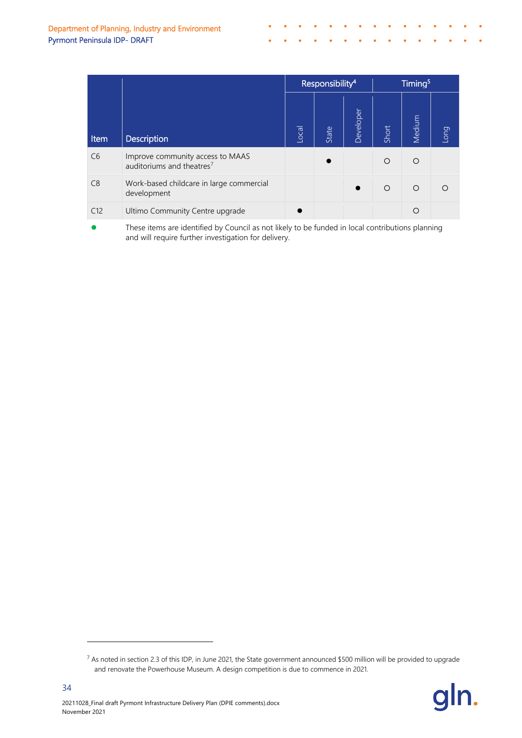|      |                                                                           | Responsibility <sup>4</sup> |           | Timing <sup>5</sup> |         |         |      |
|------|---------------------------------------------------------------------------|-----------------------------|-----------|---------------------|---------|---------|------|
| Item | <b>Description</b>                                                        | Local                       | State     | Developer           | Short   | Medium  | Long |
| C6   | Improve community access to MAAS<br>auditoriums and theatres <sup>7</sup> |                             | $\bullet$ |                     | $\circ$ | $\circ$ |      |
| C8   | Work-based childcare in large commercial<br>development                   |                             |           |                     | $\circ$ | $\circ$ |      |
| C12  | Ultimo Community Centre upgrade                                           |                             |           |                     |         | $\circ$ |      |

**•** These items are identified by Council as not likely to be funded in local contributions planning and will require further investigation for delivery.

<span id="page-36-0"></span> $7$  As noted in section [2.3](#page-12-0) of this IDP, in June 2021, the State government announced \$500 million will be provided to upgrade and renovate the Powerhouse Museum. A design competition is due to commence in 2021.

![](_page_36_Picture_4.jpeg)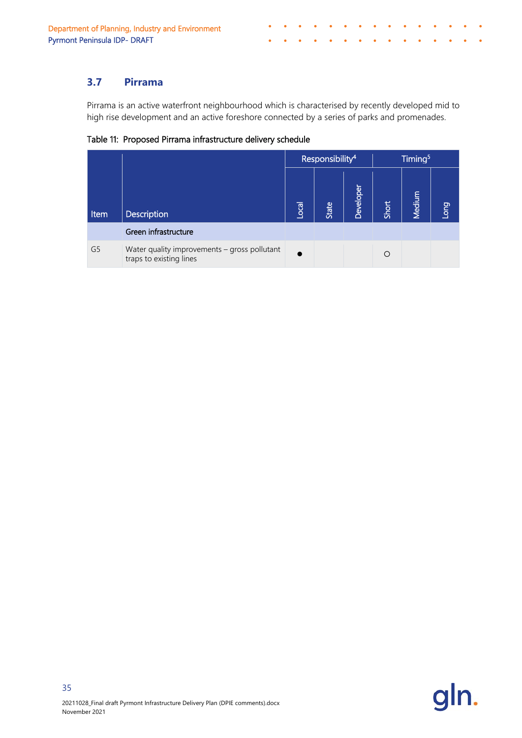## <span id="page-37-0"></span>**3.7 Pirrama**

Pirrama is an active waterfront neighbourhood which is characterised by recently developed mid to high rise development and an active foreshore connected by a series of parks and promenades.

Table 11: Proposed Pirrama infrastructure delivery schedule

|                | Responsibility <sup>4</sup>                                             |                |       | Timing <sup>5</sup> |       |        |             |
|----------------|-------------------------------------------------------------------------|----------------|-------|---------------------|-------|--------|-------------|
| Item           | Description                                                             | $\overline{c}$ | State | Developer           | Short | Medium | <b>Buon</b> |
|                | Green infrastructure                                                    |                |       |                     |       |        |             |
| G <sub>5</sub> | Water quality improvements - gross pollutant<br>traps to existing lines |                |       |                     | O     |        |             |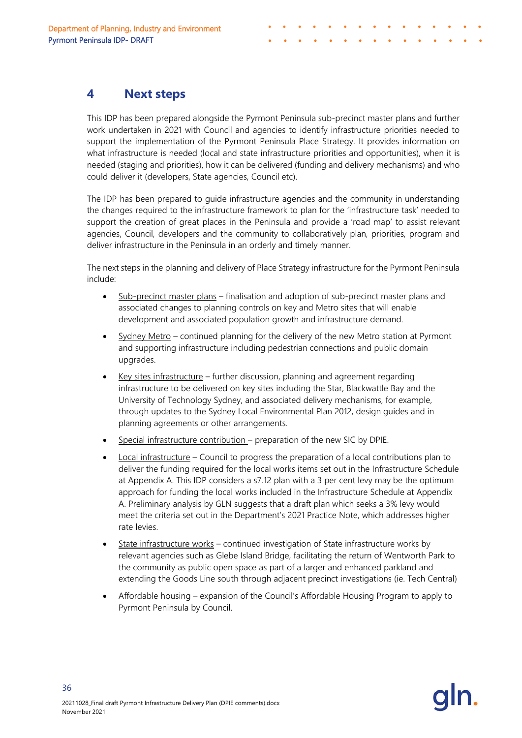# <span id="page-38-0"></span>**4 Next steps**

This IDP has been prepared alongside the Pyrmont Peninsula sub-precinct master plans and further work undertaken in 2021 with Council and agencies to identify infrastructure priorities needed to support the implementation of the Pyrmont Peninsula Place Strategy. It provides information on what infrastructure is needed (local and state infrastructure priorities and opportunities), when it is needed (staging and priorities), how it can be delivered (funding and delivery mechanisms) and who could deliver it (developers, State agencies, Council etc).

The IDP has been prepared to guide infrastructure agencies and the community in understanding the changes required to the infrastructure framework to plan for the 'infrastructure task' needed to support the creation of great places in the Peninsula and provide a 'road map' to assist relevant agencies, Council, developers and the community to collaboratively plan, priorities, program and deliver infrastructure in the Peninsula in an orderly and timely manner.

The next steps in the planning and delivery of Place Strategy infrastructure for the Pyrmont Peninsula include:

- Sub-precinct master plans finalisation and adoption of sub-precinct master plans and associated changes to planning controls on key and Metro sites that will enable development and associated population growth and infrastructure demand.
- Sydney Metro continued planning for the delivery of the new Metro station at Pyrmont and supporting infrastructure including pedestrian connections and public domain upgrades.
- $Kev$  sites infrastructure further discussion, planning and agreement regarding infrastructure to be delivered on key sites including the Star, Blackwattle Bay and the University of Technology Sydney, and associated delivery mechanisms, for example, through updates to the Sydney Local Environmental Plan 2012, design guides and in planning agreements or other arrangements.
- Special infrastructure contribution preparation of the new SIC by DPIE.
- Local infrastructure Council to progress the preparation of a local contributions plan to deliver the funding required for the local works items set out in the Infrastructure Schedule at Appendix A. This IDP considers a s7.12 plan with a 3 per cent levy may be the optimum approach for funding the local works included in the Infrastructure Schedule at Appendix A. Preliminary analysis by GLN suggests that a draft plan which seeks a 3% levy would meet the criteria set out in the Department's 2021 Practice Note, which addresses higher rate levies.
- State infrastructure works continued investigation of State infrastructure works by relevant agencies such as Glebe Island Bridge, facilitating the return of Wentworth Park to the community as public open space as part of a larger and enhanced parkland and extending the Goods Line south through adjacent precinct investigations (ie. Tech Central)
- <span id="page-38-1"></span>• Affordable housing – expansion of the Council's Affordable Housing Program to apply to Pyrmont Peninsula by Council.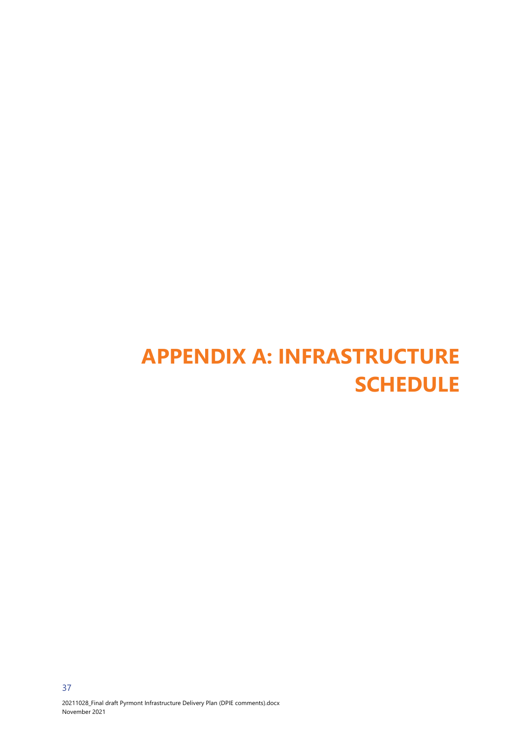# <span id="page-39-0"></span>**APPENDIX A: INFRASTRUCTURE SCHEDULE**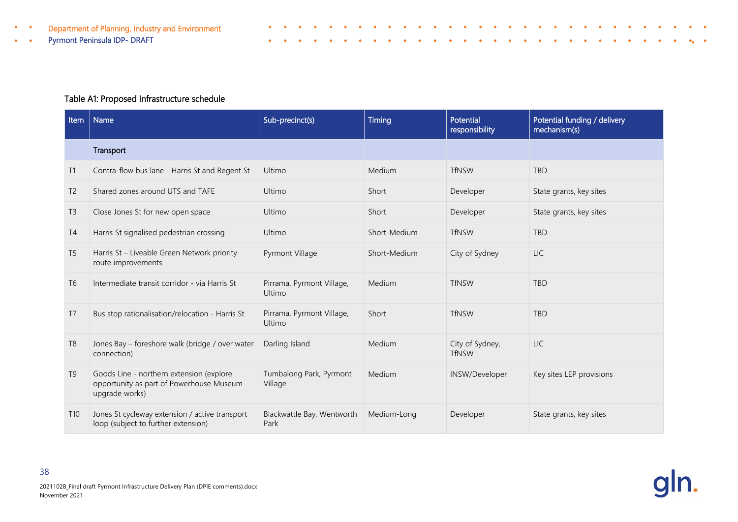- Department of Planning, Industry and Environment
	- Pyrmont Peninsula IDP- DRAFT

 $\bullet$ 

#### Table A1: Proposed Infrastructure schedule

Î

| <b>Item</b>     | Name                                                                                                   | Sub-precinct(s)                     | Timing       | <b>Potential</b><br>responsibility | Potential funding / delivery<br>mechanism(s) |
|-----------------|--------------------------------------------------------------------------------------------------------|-------------------------------------|--------------|------------------------------------|----------------------------------------------|
|                 | Transport                                                                                              |                                     |              |                                    |                                              |
| T1              | Contra-flow bus lane - Harris St and Regent St                                                         | Ultimo                              | Medium       | <b>TfNSW</b>                       | <b>TBD</b>                                   |
| T <sub>2</sub>  | Shared zones around UTS and TAFE                                                                       | Ultimo                              | Short        | Developer                          | State grants, key sites                      |
| T <sub>3</sub>  | Close Jones St for new open space                                                                      | Ultimo                              | Short        | Developer                          | State grants, key sites                      |
| T4              | Harris St signalised pedestrian crossing                                                               | Ultimo                              | Short-Medium | <b>TfNSW</b>                       | <b>TBD</b>                                   |
| T <sub>5</sub>  | Harris St - Liveable Green Network priority<br>route improvements                                      | Pyrmont Village                     | Short-Medium | City of Sydney                     | <b>LIC</b>                                   |
| T <sub>6</sub>  | Intermediate transit corridor - via Harris St                                                          | Pirrama, Pyrmont Village,<br>Ultimo | Medium       | <b>TfNSW</b>                       | <b>TBD</b>                                   |
| T7              | Bus stop rationalisation/relocation - Harris St                                                        | Pirrama, Pyrmont Village,<br>Ultimo | Short        | <b>TfNSW</b>                       | <b>TBD</b>                                   |
| T <sub>8</sub>  | Jones Bay – foreshore walk (bridge / over water<br>connection)                                         | Darling Island                      | Medium       | City of Sydney,<br><b>TfNSW</b>    | <b>LIC</b>                                   |
| T <sub>9</sub>  | Goods Line - northern extension (explore<br>opportunity as part of Powerhouse Museum<br>upgrade works) | Tumbalong Park, Pyrmont<br>Village  | Medium       | INSW/Developer                     | Key sites LEP provisions                     |
| T <sub>10</sub> | Jones St cycleway extension / active transport<br>loop (subject to further extension)                  | Blackwattle Bay, Wentworth<br>Park  | Medium-Long  | Developer                          | State grants, key sites                      |

 $\bullet$  $\bullet$  $\bullet$ 

 $\bullet$  $\sim$   $\bullet$ 

 $\bullet$ 

 $\blacksquare$  $\bullet$  $\bullet$  $\blacksquare$  $\blacksquare$   $\bullet$ 

 $\bullet$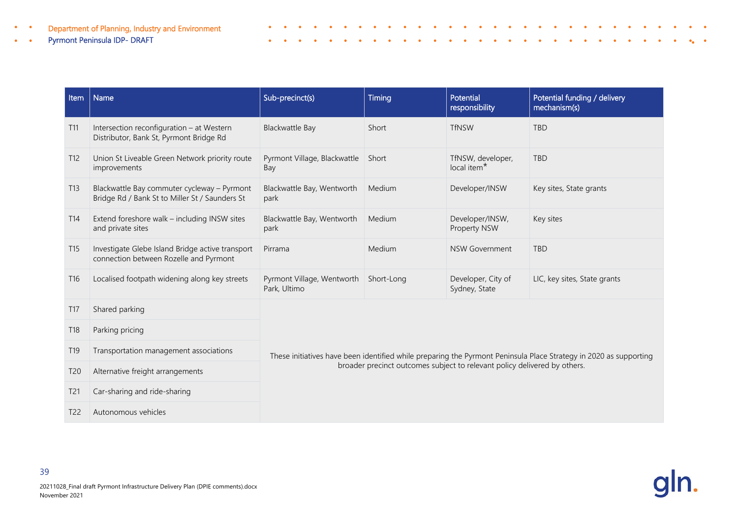#### Pyrmont Peninsula IDP- DRAFT  $\bullet$  .  $\bullet$

| <b>Item</b>     | <b>Name</b>                                                                                   | Sub-precinct(s)                                                           | Timing     | Potential<br>responsibility                  | Potential funding / delivery<br>mechanism(s)                                                                      |  |  |  |
|-----------------|-----------------------------------------------------------------------------------------------|---------------------------------------------------------------------------|------------|----------------------------------------------|-------------------------------------------------------------------------------------------------------------------|--|--|--|
| T11             | Intersection reconfiguration - at Western<br>Distributor, Bank St, Pyrmont Bridge Rd          | Blackwattle Bay                                                           | Short      | <b>TfNSW</b>                                 | <b>TBD</b>                                                                                                        |  |  |  |
| T12             | Union St Liveable Green Network priority route<br>improvements                                | Pyrmont Village, Blackwattle<br>Bay                                       | Short      | TfNSW, developer,<br>local item <sup>*</sup> | <b>TBD</b>                                                                                                        |  |  |  |
| T13             | Blackwattle Bay commuter cycleway - Pyrmont<br>Bridge Rd / Bank St to Miller St / Saunders St | Blackwattle Bay, Wentworth<br>park                                        | Medium     | Developer/INSW                               | Key sites, State grants                                                                                           |  |  |  |
| T <sub>14</sub> | Extend foreshore walk - including INSW sites<br>and private sites                             | Blackwattle Bay, Wentworth<br>park                                        | Medium     | Developer/INSW,<br>Property NSW              | Key sites                                                                                                         |  |  |  |
| T15             | Investigate Glebe Island Bridge active transport<br>connection between Rozelle and Pyrmont    | Pirrama                                                                   | Medium     | <b>NSW Government</b>                        | <b>TBD</b>                                                                                                        |  |  |  |
| T <sub>16</sub> | Localised footpath widening along key streets                                                 | Pyrmont Village, Wentworth<br>Park, Ultimo                                | Short-Long | Developer, City of<br>Sydney, State          | LIC, key sites, State grants                                                                                      |  |  |  |
| T <sub>17</sub> | Shared parking                                                                                |                                                                           |            |                                              |                                                                                                                   |  |  |  |
| T <sub>18</sub> | Parking pricing                                                                               |                                                                           |            |                                              |                                                                                                                   |  |  |  |
| T <sub>19</sub> | Transportation management associations                                                        |                                                                           |            |                                              | These initiatives have been identified while preparing the Pyrmont Peninsula Place Strategy in 2020 as supporting |  |  |  |
| T <sub>20</sub> | Alternative freight arrangements                                                              | broader precinct outcomes subject to relevant policy delivered by others. |            |                                              |                                                                                                                   |  |  |  |
| T <sub>21</sub> | Car-sharing and ride-sharing                                                                  |                                                                           |            |                                              |                                                                                                                   |  |  |  |
| T <sub>22</sub> | Autonomous vehicles                                                                           |                                                                           |            |                                              |                                                                                                                   |  |  |  |

 $\bullet$  $\bullet$  $\bullet$ 

 $\bullet$  $\bullet$ 

 $\bullet$  $\bullet$  $\bullet$  $\bullet$  $\bullet$ 

 $\sim$ 

 $\bullet$  $\sim$  $\bullet$   $\bullet$ 

 $\bullet$  $\bullet$  $\bullet$  $\bullet$  $\bullet$ 

 $\bullet$ 

 $\bullet$  $\bullet$  $\bullet$  $\bullet$  $\bullet$  $\bullet$  $\bullet$  $\bullet$  $\bullet$  $\bullet$  $\bullet$  $\bullet$  $\bullet$ .  $\bullet$ 

 $\bullet$ 

 $\bullet$ 

 $\bullet$ 

Î

 $\sim$ 

 $\bullet$  $\bullet$  $\bullet$  $\bullet$  $\bullet$ 

 $\bullet$  $\bullet$  $\bullet$  $\bullet$  $\blacksquare$ **A** 

20211028\_Final draft Pyrmont Infrastructure Delivery Plan (DPIE comments).docx November 2021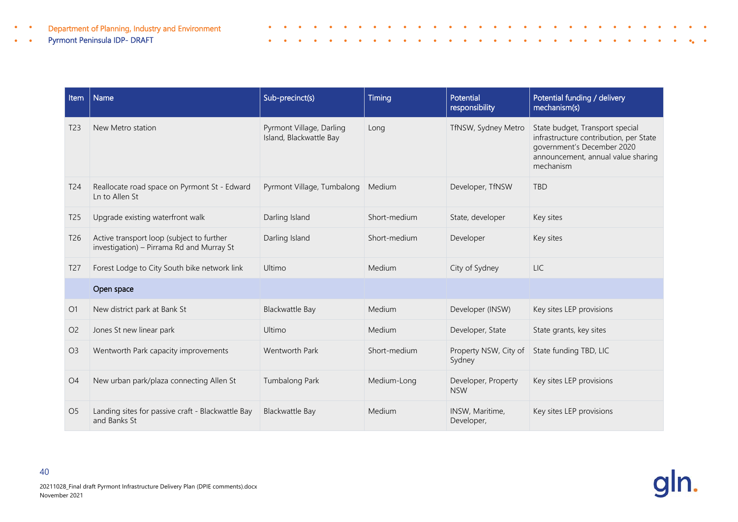#### Pyrmont Peninsula IDP- DRAFT  $\bullet$  .  $\bullet$

| Item            | Name                                                                                   | Sub-precinct(s)                                     | Timing       | Potential<br>responsibility       | Potential funding / delivery<br>mechanism(s)                                                                                                               |
|-----------------|----------------------------------------------------------------------------------------|-----------------------------------------------------|--------------|-----------------------------------|------------------------------------------------------------------------------------------------------------------------------------------------------------|
| T <sub>23</sub> | New Metro station                                                                      | Pyrmont Village, Darling<br>Island, Blackwattle Bay | Long         | TfNSW, Sydney Metro               | State budget, Transport special<br>infrastructure contribution, per State<br>government's December 2020<br>announcement, annual value sharing<br>mechanism |
| T <sub>24</sub> | Reallocate road space on Pyrmont St - Edward<br>Ln to Allen St                         | Pyrmont Village, Tumbalong                          | Medium       | Developer, TfNSW                  | <b>TBD</b>                                                                                                                                                 |
| T <sub>25</sub> | Upgrade existing waterfront walk                                                       | Darling Island                                      | Short-medium | State, developer                  | Key sites                                                                                                                                                  |
| T <sub>26</sub> | Active transport loop (subject to further<br>investigation) - Pirrama Rd and Murray St | Darling Island                                      | Short-medium | Developer                         | Key sites                                                                                                                                                  |
| T <sub>27</sub> | Forest Lodge to City South bike network link                                           | Ultimo                                              | Medium       | City of Sydney                    | <b>LIC</b>                                                                                                                                                 |
|                 | Open space                                                                             |                                                     |              |                                   |                                                                                                                                                            |
| O <sub>1</sub>  | New district park at Bank St                                                           | Blackwattle Bay                                     | Medium       | Developer (INSW)                  | Key sites LEP provisions                                                                                                                                   |
| O <sub>2</sub>  | Jones St new linear park                                                               | Ultimo                                              | Medium       | Developer, State                  | State grants, key sites                                                                                                                                    |
| O <sub>3</sub>  | Wentworth Park capacity improvements                                                   | Wentworth Park                                      | Short-medium | Property NSW, City of<br>Sydney   | State funding TBD, LIC                                                                                                                                     |
| O <sub>4</sub>  | New urban park/plaza connecting Allen St                                               | Tumbalong Park                                      | Medium-Long  | Developer, Property<br><b>NSW</b> | Key sites LEP provisions                                                                                                                                   |
| O <sub>5</sub>  | Landing sites for passive craft - Blackwattle Bay<br>and Banks St                      | Blackwattle Bay                                     | Medium       | INSW, Maritime,<br>Developer,     | Key sites LEP provisions                                                                                                                                   |

 $\bullet$  $\bullet$  $\bullet$  $\bullet$  $\bullet$  $\bullet$ 

 $\bullet$  $\bullet$   $\bullet$  $\bullet$  $\bullet$  $\bullet$  $\bullet$  $\bullet$  $\bullet$  $\bullet$  $\bullet$  $\bullet$  $\bullet$  $\bullet$  $\bullet_{\bullet}$  $\bullet$ 

 $\bullet$  $\Delta$  $\bullet$  $\overline{\phantom{a}}$  $\bullet$   $\bullet$ 

 $\bullet$  $\bullet$   $\bullet$ 

 $\bullet$  $\bullet$ 

 $\bullet$ 

 $\bullet$ 

Î

 $\bullet$  $\blacksquare$  $\bullet$  $\bullet$  $\bullet$  $\bullet$  $\bullet$  $\bullet$ 

 $\bullet$  $\bullet$  $\bullet$  $\bullet$  $\bullet$  $\bullet$  $\bullet$  $\bullet$  $\bullet$  $\bullet$  $\bullet$  $\bullet$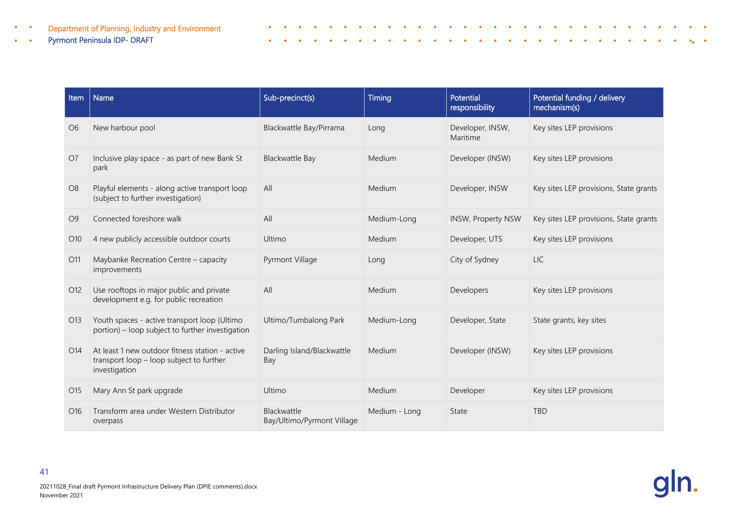#### Pyrmont Peninsula IDP- DRAFT  $\bullet$  .  $\bullet$

| Item            | Name                                                                                                         | Sub-precinct(s)                           | Timing        | Potential<br>responsibility  | Potential funding / delivery<br>mechanism(s) |
|-----------------|--------------------------------------------------------------------------------------------------------------|-------------------------------------------|---------------|------------------------------|----------------------------------------------|
| O <sub>6</sub>  | New harbour pool                                                                                             | Blackwattle Bay/Pirrama                   | Long          | Developer, INSW,<br>Maritime | Key sites LEP provisions                     |
| O <sub>7</sub>  | Inclusive play space - as part of new Bank St<br>park                                                        | <b>Blackwattle Bay</b>                    | Medium        | Developer (INSW)             | Key sites LEP provisions                     |
| O <sub>8</sub>  | Playful elements - along active transport loop<br>(subject to further investigation)                         | All                                       | Medium        | Developer, INSW              | Key sites LEP provisions, State grants       |
| O <sub>9</sub>  | Connected foreshore walk                                                                                     | All                                       | Medium-Long   | <b>INSW, Property NSW</b>    | Key sites LEP provisions, State grants       |
| O <sub>10</sub> | 4 new publicly accessible outdoor courts                                                                     | Ultimo                                    | Medium        | Developer, UTS               | Key sites LEP provisions                     |
| O11             | Maybanke Recreation Centre - capacity<br>improvements                                                        | Pyrmont Village                           | Long          | City of Sydney               | <b>LIC</b>                                   |
| O12             | Use rooftops in major public and private<br>development e.g. for public recreation                           | All                                       | Medium        | Developers                   | Key sites LEP provisions                     |
| O13             | Youth spaces - active transport loop (Ultimo<br>portion) - loop subject to further investigation             | Ultimo/Tumbalong Park                     | Medium-Long   | Developer, State             | State grants, key sites                      |
| O <sub>14</sub> | At least 1 new outdoor fitness station - active<br>transport loop - loop subject to further<br>investigation | Darling Island/Blackwattle<br>Bay         | Medium        | Developer (INSW)             | Key sites LEP provisions                     |
| O15             | Mary Ann St park upgrade                                                                                     | Ultimo                                    | Medium        | Developer                    | Key sites LEP provisions                     |
| O <sub>16</sub> | Transform area under Western Distributor<br>overpass                                                         | Blackwattle<br>Bay/Ultimo/Pyrmont Village | Medium - Long | State                        | <b>TBD</b>                                   |

 $\bullet$  $\bullet$  $\bullet$  $\bullet$  $\bullet$  $\bullet$ 

 $\bullet$ 

 $\sim$   $\sim$ 

 $\sim$  $\bullet$  $\bullet$  $\bullet$  $\sim$ 

 $\bullet$  $\bullet$  $\bullet$  $\bullet$  $\bullet$ 

 $\bullet$ 

 $\bullet$ 

 $\bullet$ 

 $\bullet$  .  $\bullet$  .  $\bullet$ 

 $\bullet$  $\bullet$   $\bullet$ 

 $\bullet$  $\bullet$ 

 $\begin{array}{cccccccccccccc} \bullet & \bullet & \bullet & \bullet & \bullet & \bullet & \bullet \end{array}$ 

 $\bullet$ 

 $\bullet$ 

 $\bullet$ 

 $\bullet_{\alpha}$ 

 $\bullet$ 

Î

 $\bullet$  $\sim$  $\bullet$  $\bullet$  $\bullet$  $\bullet$  $\bullet$  $\bullet$  $\blacksquare$  $\bullet$  $\bullet$ 

 $\bullet$  $\bullet$  $\bullet$  $\bullet$  $\bullet$  $\bullet$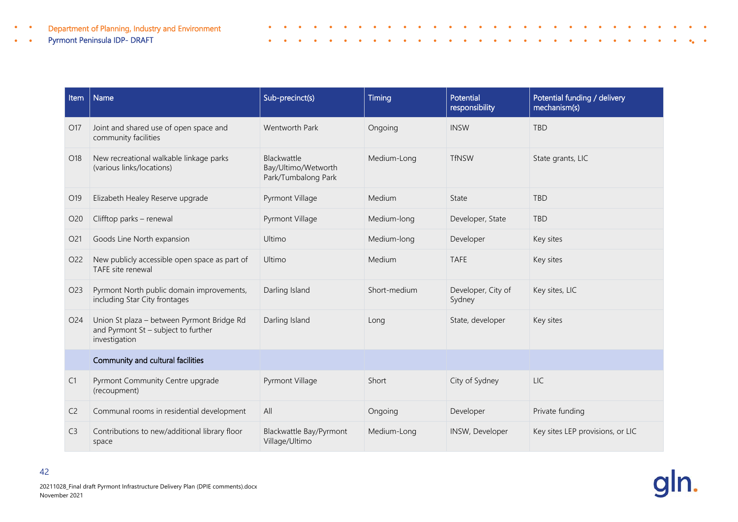#### Pyrmont Peninsula IDP- DRAFT  $\bullet$  .  $\bullet$

| Item            | Name                                                                                               | Sub-precinct(s)                                                  | Timing       | Potential<br>responsibility  | Potential funding / delivery<br>mechanism(s) |
|-----------------|----------------------------------------------------------------------------------------------------|------------------------------------------------------------------|--------------|------------------------------|----------------------------------------------|
| O17             | Joint and shared use of open space and<br>community facilities                                     | Wentworth Park                                                   | Ongoing      | <b>INSW</b>                  | <b>TBD</b>                                   |
| O18             | New recreational walkable linkage parks<br>(various links/locations)                               | <b>Blackwattle</b><br>Bay/Ultimo/Wetworth<br>Park/Tumbalong Park | Medium-Long  | <b>TfNSW</b>                 | State grants, LIC                            |
| O19             | Elizabeth Healey Reserve upgrade                                                                   | Pyrmont Village                                                  | Medium       | State                        | <b>TBD</b>                                   |
| O <sub>20</sub> | Clifftop parks - renewal                                                                           | Pyrmont Village                                                  | Medium-long  | Developer, State             | <b>TBD</b>                                   |
| O21             | Goods Line North expansion                                                                         | Ultimo                                                           | Medium-long  | Developer                    | Key sites                                    |
| O <sub>22</sub> | New publicly accessible open space as part of<br>TAFE site renewal                                 | Ultimo                                                           | Medium       | <b>TAFE</b>                  | Key sites                                    |
| O23             | Pyrmont North public domain improvements,<br>including Star City frontages                         | Darling Island                                                   | Short-medium | Developer, City of<br>Sydney | Key sites, LIC                               |
| O24             | Union St plaza - between Pyrmont Bridge Rd<br>and Pyrmont St - subject to further<br>investigation | Darling Island                                                   | Long         | State, developer             | Key sites                                    |
|                 | Community and cultural facilities                                                                  |                                                                  |              |                              |                                              |
| C1              | Pyrmont Community Centre upgrade<br>(recoupment)                                                   | Pyrmont Village                                                  | Short        | City of Sydney               | <b>LIC</b>                                   |
| C <sub>2</sub>  | Communal rooms in residential development                                                          | All                                                              | Ongoing      | Developer                    | Private funding                              |
| C <sub>3</sub>  | Contributions to new/additional library floor<br>space                                             | Blackwattle Bay/Pyrmont<br>Village/Ultimo                        | Medium-Long  | INSW, Developer              | Key sites LEP provisions, or LIC             |

 $\bullet$  $\bullet$  $\bullet$  $\bullet$  $\bullet$  $\bullet$ 

 $\bullet$ 

 $\bullet$ 

 $\bullet$ 

 $\bullet$  .  $\bullet$  .

 $\sim$ 

 $\bullet$  $\bullet$  $\bullet$  $\sim$   $\bullet$ 

 $\bullet$  $\bullet$   $\bullet$ 

 $\bullet$  $\bullet$ 

 $\bullet$ 

 $\bullet$ 

 $\bullet$ 

 $\bullet_{\alpha}$ 

 $\bullet$ 

Î

 $\bullet$  $\blacksquare$  $\bullet$  $\bullet$  $\bullet$  $\bullet$  $\bullet$  $\bullet$  $\mathbf{a}$  $\bullet$  $\bullet$ 

 $\bullet$  $\bullet$  $\bullet$  $\bullet$  $\bullet$  $\bullet$  $\bullet$  $\bullet$  $\bullet$  $\bullet$  $\bullet$  $\bullet$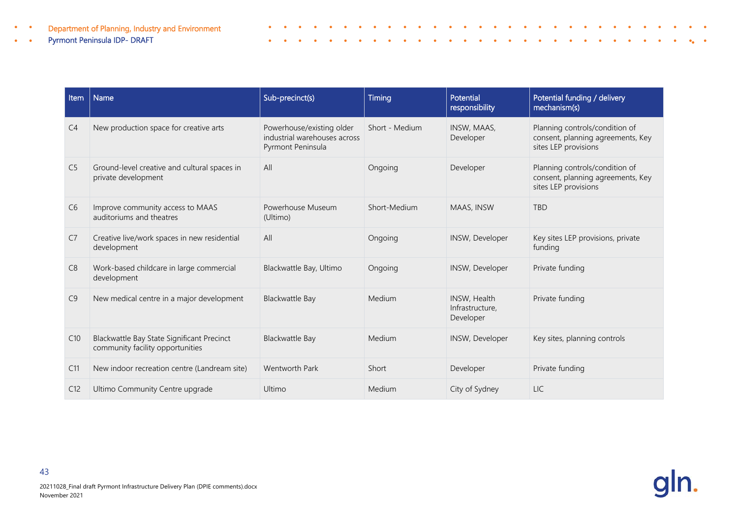#### Pyrmont Peninsula IDP- DRAFT  $\bullet$

 $\bullet$ 

| <b>Item</b>    | <b>Name</b>                                                                    | Sub-precinct(s)                                                                | Timing         | Potential<br>responsibility                  | Potential funding / delivery<br>mechanism(s)                                                |
|----------------|--------------------------------------------------------------------------------|--------------------------------------------------------------------------------|----------------|----------------------------------------------|---------------------------------------------------------------------------------------------|
| C <sub>4</sub> | New production space for creative arts                                         | Powerhouse/existing older<br>industrial warehouses across<br>Pyrmont Peninsula | Short - Medium | INSW, MAAS,<br>Developer                     | Planning controls/condition of<br>consent, planning agreements, Key<br>sites LEP provisions |
| C <sub>5</sub> | Ground-level creative and cultural spaces in<br>private development            | All                                                                            | Ongoing        | Developer                                    | Planning controls/condition of<br>consent, planning agreements, Key<br>sites LEP provisions |
| C <sub>6</sub> | Improve community access to MAAS<br>auditoriums and theatres                   | Powerhouse Museum<br>(Ultimo)                                                  | Short-Medium   | MAAS, INSW                                   | <b>TBD</b>                                                                                  |
| C <sub>7</sub> | Creative live/work spaces in new residential<br>development                    | All                                                                            | Ongoing        | INSW, Developer                              | Key sites LEP provisions, private<br>funding                                                |
| C8             | Work-based childcare in large commercial<br>development                        | Blackwattle Bay, Ultimo                                                        | Ongoing        | INSW, Developer                              | Private funding                                                                             |
| C9             | New medical centre in a major development                                      | <b>Blackwattle Bay</b>                                                         | Medium         | INSW, Health<br>Infrastructure,<br>Developer | Private funding                                                                             |
| C10            | Blackwattle Bay State Significant Precinct<br>community facility opportunities | <b>Blackwattle Bay</b>                                                         | Medium         | INSW, Developer                              | Key sites, planning controls                                                                |
| C11            | New indoor recreation centre (Landream site)                                   | Wentworth Park                                                                 | Short          | Developer                                    | Private funding                                                                             |
| C12            | Ultimo Community Centre upgrade                                                | Ultimo                                                                         | Medium         | City of Sydney                               | <b>LIC</b>                                                                                  |

 $\bullet$  .  $\bullet$  $\bullet$  $\bullet$  $\bullet$  $\bullet$ 

 $\bullet$  $\bullet$   $\bullet$  $\bullet$  $\bullet$  $\bullet$  $\bullet$  $\bullet$  $\bullet$  $\bullet$  $\bullet$  $\bullet$  $\bullet$  $\bullet$ 

 $\bullet$  $\Delta$  $\bullet$  $\overline{\phantom{a}}$  $\bullet$ 

Î

 $\Delta$ 

 $\bullet$  $\bullet$  $\bullet$  $\bullet$  $\bullet$  $\bullet$  $\bullet$  $\bullet$  $\bullet$  $\bullet$  $\bullet$  $\bullet$ 

 $\bullet$  $\bullet$  $\bullet$  $\bullet$  $\bullet$  $\bullet$   $\bullet$ 

 $\bullet$ 

 $\bullet$  $\bullet$  $\bullet$  $\bullet$   $\bullet$ 

 $\bullet_{\mathbf{a}}$  $\bullet$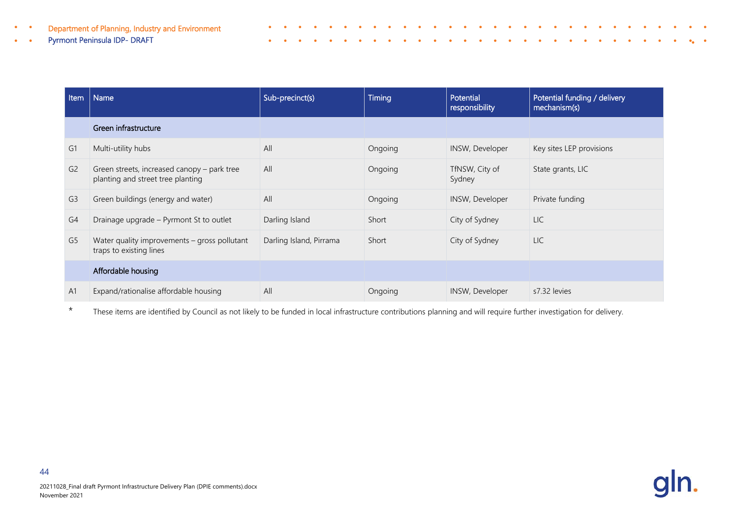#### Pyrmont Peninsula IDP- DRAFT

| Item           | Name                                                                             | Sub-precinct(s)         | <b>Timing</b> | Potential<br>responsibility | Potential funding / delivery<br>mechanism(s) |
|----------------|----------------------------------------------------------------------------------|-------------------------|---------------|-----------------------------|----------------------------------------------|
|                | Green infrastructure                                                             |                         |               |                             |                                              |
| G <sub>1</sub> | Multi-utility hubs                                                               | All                     | Ongoing       | INSW, Developer             | Key sites LEP provisions                     |
| G <sub>2</sub> | Green streets, increased canopy - park tree<br>planting and street tree planting | All                     | Ongoing       | TfNSW, City of<br>Sydney    | State grants, LIC                            |
| G <sub>3</sub> | Green buildings (energy and water)                                               | All                     | Ongoing       | INSW, Developer             | Private funding                              |
| G <sub>4</sub> | Drainage upgrade - Pyrmont St to outlet                                          | Darling Island          | Short         | City of Sydney              | <b>LIC</b>                                   |
| G5             | Water quality improvements $-$ gross pollutant<br>traps to existing lines        | Darling Island, Pirrama | Short         | City of Sydney              | <b>LIC</b>                                   |
|                | Affordable housing                                                               |                         |               |                             |                                              |
| A <sub>1</sub> | Expand/rationalise affordable housing                                            | All                     | Ongoing       | INSW, Developer             | s7.32 levies                                 |

Î

\* These items are identified by Council as not likely to be funded in local infrastructure contributions planning and will require further investigation for delivery.

![](_page_46_Picture_4.jpeg)

 $\bullet$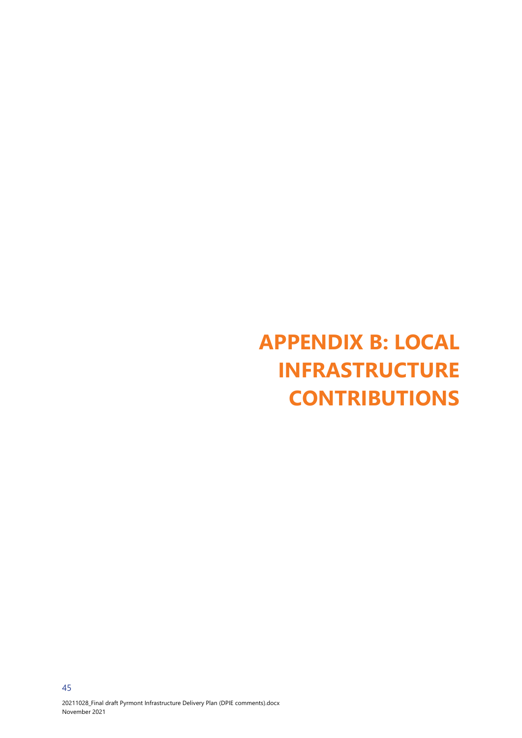# <span id="page-47-0"></span>**APPENDIX B: LOCAL INFRASTRUCTURE CONTRIBUTIONS**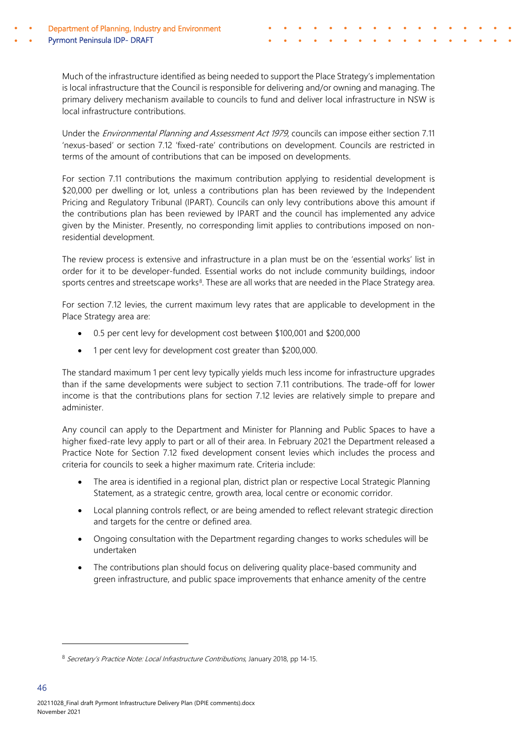Much of the infrastructure identified as being needed to support the Place Strategy's implementation is local infrastructure that the Council is responsible for delivering and/or owning and managing. The primary delivery mechanism available to councils to fund and deliver local infrastructure in NSW is local infrastructure contributions.

¢

Under the Environmental Planning and Assessment Act 1979, councils can impose either section 7.11 'nexus-based' or section 7.12 'fixed-rate' contributions on development. Councils are restricted in terms of the amount of contributions that can be imposed on developments.

For section 7.11 contributions the maximum contribution applying to residential development is \$20,000 per dwelling or lot, unless a contributions plan has been reviewed by the Independent Pricing and Regulatory Tribunal (IPART). Councils can only levy contributions above this amount if the contributions plan has been reviewed by IPART and the council has implemented any advice given by the Minister. Presently, no corresponding limit applies to contributions imposed on nonresidential development.

The review process is extensive and infrastructure in a plan must be on the 'essential works' list in order for it to be developer-funded. Essential works do not include community buildings, indoor sports centres and streetscape works<sup>8</sup>. These are all works that are needed in the Place Strategy area.

For section 7.12 levies, the current maximum levy rates that are applicable to development in the Place Strategy area are:

- 0.5 per cent levy for development cost between \$100,001 and \$200,000
- 1 per cent levy for development cost greater than \$200,000.

The standard maximum 1 per cent levy typically yields much less income for infrastructure upgrades than if the same developments were subject to section 7.11 contributions. The trade-off for lower income is that the contributions plans for section 7.12 levies are relatively simple to prepare and administer.

Any council can apply to the Department and Minister for Planning and Public Spaces to have a higher fixed-rate levy apply to part or all of their area. In February 2021 the Department released a Practice Note for Section 7.12 fixed development consent levies which includes the process and criteria for councils to seek a higher maximum rate. Criteria include:

- The area is identified in a regional plan, district plan or respective Local Strategic Planning Statement, as a strategic centre, growth area, local centre or economic corridor.
- Local planning controls reflect, or are being amended to reflect relevant strategic direction and targets for the centre or defined area.
- Ongoing consultation with the Department regarding changes to works schedules will be undertaken
- The contributions plan should focus on delivering quality place-based community and green infrastructure, and public space improvements that enhance amenity of the centre

<span id="page-48-0"></span><sup>&</sup>lt;sup>8</sup> Secretary's Practice Note: Local Infrastructure Contributions, January 2018, pp 14-15.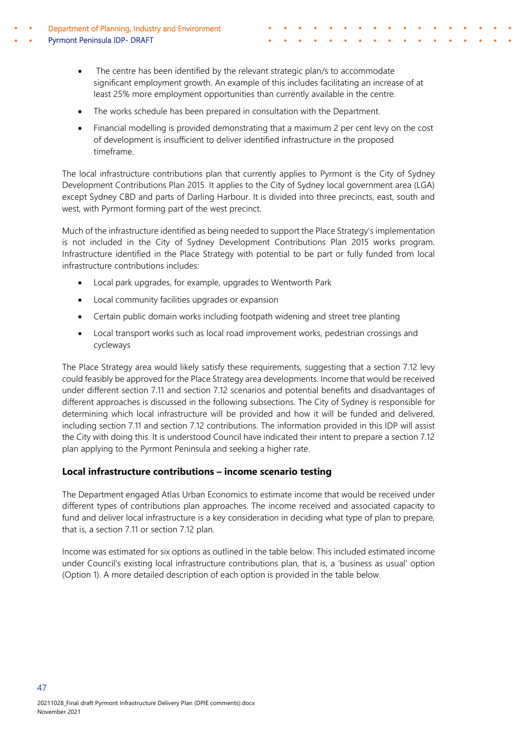- Department of Planning, Industry and Environment Pyrmont Peninsula IDP- DRAFT
	- The centre has been identified by the relevant strategic plan/s to accommodate significant employment growth. An example of this includes facilitating an increase of at least 25% more employment opportunities than currently available in the centre.

¢

- The works schedule has been prepared in consultation with the Department.
- Financial modelling is provided demonstrating that a maximum 2 per cent levy on the cost of development is insufficient to deliver identified infrastructure in the proposed timeframe.

The local infrastructure contributions plan that currently applies to Pyrmont is the City of Sydney Development Contributions Plan 2015. It applies to the City of Sydney local government area (LGA) except Sydney CBD and parts of Darling Harbour. It is divided into three precincts, east, south and west, with Pyrmont forming part of the west precinct.

Much of the infrastructure identified as being needed to support the Place Strategy's implementation is not included in the City of Sydney Development Contributions Plan 2015 works program. Infrastructure identified in the Place Strategy with potential to be part or fully funded from local infrastructure contributions includes:

- Local park upgrades, for example, upgrades to Wentworth Park
- Local community facilities upgrades or expansion
- Certain public domain works including footpath widening and street tree planting
- Local transport works such as local road improvement works, pedestrian crossings and cycleways

The Place Strategy area would likely satisfy these requirements, suggesting that a section 7.12 levy could feasibly be approved for the Place Strategy area developments. Income that would be received under different section 7.11 and section 7.12 scenarios and potential benefits and disadvantages of different approaches is discussed in the following subsections. The City of Sydney is responsible for determining which local infrastructure will be provided and how it will be funded and delivered, including section 7.11 and section 7.12 contributions. The information provided in this IDP will assist the City with doing this. It is understood Council have indicated their intent to prepare a section 7.12 plan applying to the Pyrmont Peninsula and seeking a higher rate.

### **Local infrastructure contributions – income scenario testing**

The Department engaged Atlas Urban Economics to estimate income that would be received under different types of contributions plan approaches. The income received and associated capacity to fund and deliver local infrastructure is a key consideration in deciding what type of plan to prepare, that is, a section 7.11 or section 7.12 plan.

Income was estimated for six options as outlined in the table below. This included estimated income under Council's existing local infrastructure contributions plan, that is, a 'business as usual' option (Option 1). A more detailed description of each option is provided in the table below.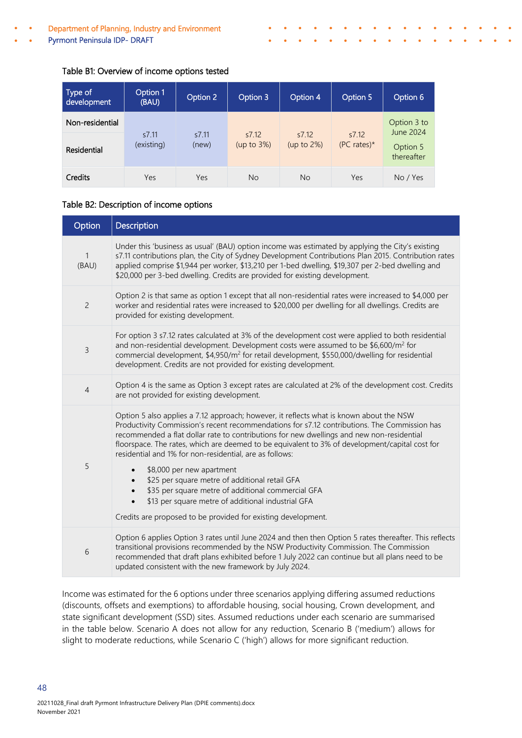Pyrmont Peninsula IDP- DRAFT

#### Table B1: Overview of income options tested

| Type of<br>development         | Option 1<br>(BAU)   | Option 2       | Option 3                | Option 4                | Option 5                   | Option 6                             |
|--------------------------------|---------------------|----------------|-------------------------|-------------------------|----------------------------|--------------------------------------|
| Non-residential<br>Residential | s7.11<br>(existing) | s7.11<br>(new) | s7.12<br>(up to $3\%$ ) | s7.12<br>(up to $2\%$ ) | s7.12<br>$(PC \; rates)^*$ | Option 3 to<br>June 2024<br>Option 5 |
| Credits                        | Yes                 | Yes            | <b>No</b>               | <b>No</b>               | Yes                        | thereafter<br>No / Yes               |

¢

#### Table B2: Description of income options

| Option                | <b>Description</b>                                                                                                                                                                                                                                                                                                                                                                                                                                                                                                                            |
|-----------------------|-----------------------------------------------------------------------------------------------------------------------------------------------------------------------------------------------------------------------------------------------------------------------------------------------------------------------------------------------------------------------------------------------------------------------------------------------------------------------------------------------------------------------------------------------|
| $\mathbf{1}$<br>(BAU) | Under this 'business as usual' (BAU) option income was estimated by applying the City's existing<br>s7.11 contributions plan, the City of Sydney Development Contributions Plan 2015. Contribution rates<br>applied comprise \$1,944 per worker, \$13,210 per 1-bed dwelling, \$19,307 per 2-bed dwelling and<br>\$20,000 per 3-bed dwelling. Credits are provided for existing development.                                                                                                                                                  |
| $\overline{c}$        | Option 2 is that same as option 1 except that all non-residential rates were increased to \$4,000 per<br>worker and residential rates were increased to \$20,000 per dwelling for all dwellings. Credits are<br>provided for existing development.                                                                                                                                                                                                                                                                                            |
| 3                     | For option 3 s7.12 rates calculated at 3% of the development cost were applied to both residential<br>and non-residential development. Development costs were assumed to be \$6,600/m <sup>2</sup> for<br>commercial development, \$4,950/m <sup>2</sup> for retail development, \$550,000/dwelling for residential<br>development. Credits are not provided for existing development.                                                                                                                                                        |
| $\overline{4}$        | Option 4 is the same as Option 3 except rates are calculated at 2% of the development cost. Credits<br>are not provided for existing development.                                                                                                                                                                                                                                                                                                                                                                                             |
| 5                     | Option 5 also applies a 7.12 approach; however, it reflects what is known about the NSW<br>Productivity Commission's recent recommendations for s7.12 contributions. The Commission has<br>recommended a flat dollar rate to contributions for new dwellings and new non-residential<br>floorspace. The rates, which are deemed to be equivalent to 3% of development/capital cost for<br>residential and 1% for non-residential, are as follows:<br>\$8,000 per new apartment<br>$\bullet$<br>\$25 per square metre of additional retail GFA |
|                       | \$35 per square metre of additional commercial GFA<br>\$13 per square metre of additional industrial GFA<br>Credits are proposed to be provided for existing development.                                                                                                                                                                                                                                                                                                                                                                     |
| 6                     | Option 6 applies Option 3 rates until June 2024 and then then Option 5 rates thereafter. This reflects<br>transitional provisions recommended by the NSW Productivity Commission. The Commission<br>recommended that draft plans exhibited before 1 July 2022 can continue but all plans need to be<br>updated consistent with the new framework by July 2024.                                                                                                                                                                                |

Income was estimated for the 6 options under three scenarios applying differing assumed reductions (discounts, offsets and exemptions) to affordable housing, social housing, Crown development, and state significant development (SSD) sites. Assumed reductions under each scenario are summarised in the table below. Scenario A does not allow for any reduction, Scenario B ('medium') allows for slight to moderate reductions, while Scenario C ('high') allows for more significant reduction.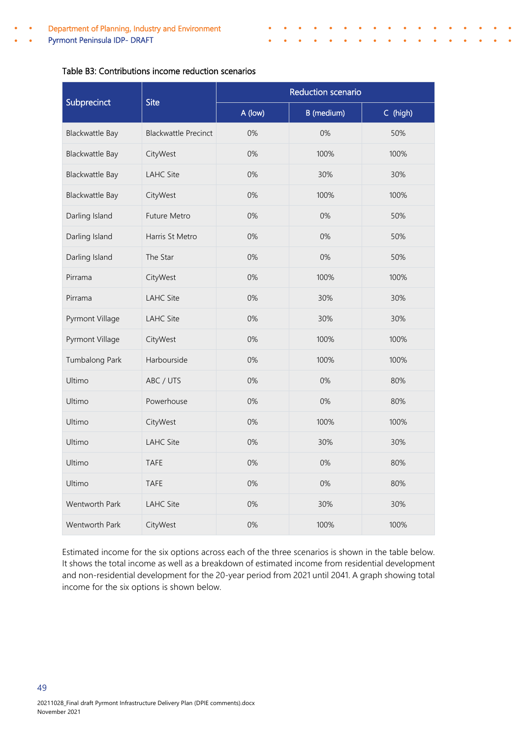Pyrmont Peninsula IDP- DRAFT

#### Table B3: Contributions income reduction scenarios

|                        | <b>Site</b>                 | Reduction scenario |                   |          |  |  |
|------------------------|-----------------------------|--------------------|-------------------|----------|--|--|
| Subprecinct            |                             | A (low)            | <b>B</b> (medium) | C (high) |  |  |
| <b>Blackwattle Bay</b> | <b>Blackwattle Precinct</b> | 0%                 | 0%                | 50%      |  |  |
| <b>Blackwattle Bay</b> | CityWest                    | 0%                 | 100%              | 100%     |  |  |
| <b>Blackwattle Bay</b> | <b>LAHC Site</b>            | 0%                 | 30%               | 30%      |  |  |
| <b>Blackwattle Bay</b> | CityWest                    | 0%                 | 100%              | 100%     |  |  |
| Darling Island         | Future Metro                | 0%                 | 0%                | 50%      |  |  |
| Darling Island         | Harris St Metro             | 0%                 | 0%                | 50%      |  |  |
| Darling Island         | The Star                    | 0%                 | 0%                | 50%      |  |  |
| Pirrama                | CityWest                    | 0%                 | 100%              | 100%     |  |  |
| Pirrama                | <b>LAHC Site</b>            | 0%                 | 30%               | 30%      |  |  |
| Pyrmont Village        | <b>LAHC Site</b>            | 0%                 | 30%               | 30%      |  |  |
| Pyrmont Village        | CityWest                    | 0%                 | 100%              | 100%     |  |  |
| Tumbalong Park         | Harbourside                 | 0%                 | 100%              | 100%     |  |  |
| Ultimo                 | ABC / UTS                   | 0%                 | 0%                | 80%      |  |  |
| Ultimo                 | Powerhouse                  | 0%                 | 0%                | 80%      |  |  |
| Ultimo                 | CityWest                    | 0%                 | 100%              | 100%     |  |  |
| Ultimo                 | <b>LAHC Site</b>            | 0%                 | 30%               | 30%      |  |  |
| Ultimo                 | <b>TAFE</b>                 | 0%                 | 0%                | 80%      |  |  |
| Ultimo                 | <b>TAFE</b>                 | 0%                 | 0%                | 80%      |  |  |
| Wentworth Park         | <b>LAHC Site</b>            | 0%                 | 30%               | 30%      |  |  |
| Wentworth Park         | CityWest                    | 0%                 | 100%              | 100%     |  |  |

¢

Estimated income for the six options across each of the three scenarios is shown in the table below. It shows the total income as well as a breakdown of estimated income from residential development and non-residential development for the 20-year period from 2021 until 2041. A graph showing total income for the six options is shown below.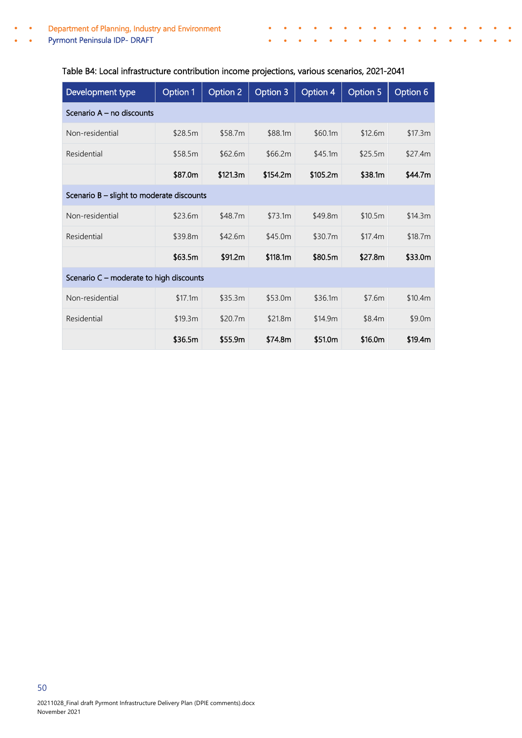Development type  $\Box$  Option 1 | Option 2 | Option 3 | Option 4 | Option 5 | Option 6 Scenario A – no discounts Non-residential \$28.5m \$58.7m \$88.1m \$60.1m \$12.6m \$17.3m Residential \$58.5m \$62.6m \$66.2m \$45.1m \$25.5m \$27.4m \$87.0m \$121.3m \$154.2m \$105.2m \$38.1m \$44.7m Scenario B – slight to moderate discounts Non-residential \$23.6m \$48.7m \$73.1m \$49.8m \$10.5m \$14.3m Residential \$39.8m \$42.6m \$45.0m \$30.7m \$17.4m \$18.7m \$63.5m \$91.2m \$118.1m \$80.5m \$27.8m \$33.0m Scenario C – moderate to high discounts Non-residential \$17.1m \$35.3m \$53.0m \$36.1m \$7.6m \$10.4m Residential \$19.3m \$20.7m \$21.8m \$14.9m \$8.4m \$9.0m \$36.5m \$55.9m \$74.8m \$51.0m \$16.0m \$19.4m

#### Table B4: Local infrastructure contribution income projections, various scenarios, 2021-2041

¢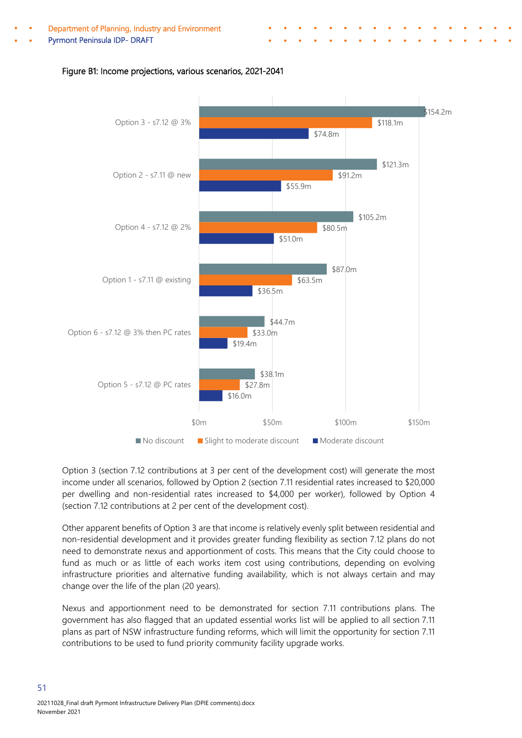Pyrmont Peninsula IDP- DRAFT

![](_page_53_Figure_2.jpeg)

¢

#### Figure B1: Income projections, various scenarios, 2021-2041

Option 3 (section 7.12 contributions at 3 per cent of the development cost) will generate the most income under all scenarios, followed by Option 2 (section 7.11 residential rates increased to \$20,000 per dwelling and non-residential rates increased to \$4,000 per worker), followed by Option 4 (section 7.12 contributions at 2 per cent of the development cost).

Other apparent benefits of Option 3 are that income is relatively evenly split between residential and non-residential development and it provides greater funding flexibility as section 7.12 plans do not need to demonstrate nexus and apportionment of costs. This means that the City could choose to fund as much or as little of each works item cost using contributions, depending on evolving infrastructure priorities and alternative funding availability, which is not always certain and may change over the life of the plan (20 years).

Nexus and apportionment need to be demonstrated for section 7.11 contributions plans. The government has also flagged that an updated essential works list will be applied to all section 7.11 plans as part of NSW infrastructure funding reforms, which will limit the opportunity for section 7.11 contributions to be used to fund priority community facility upgrade works.